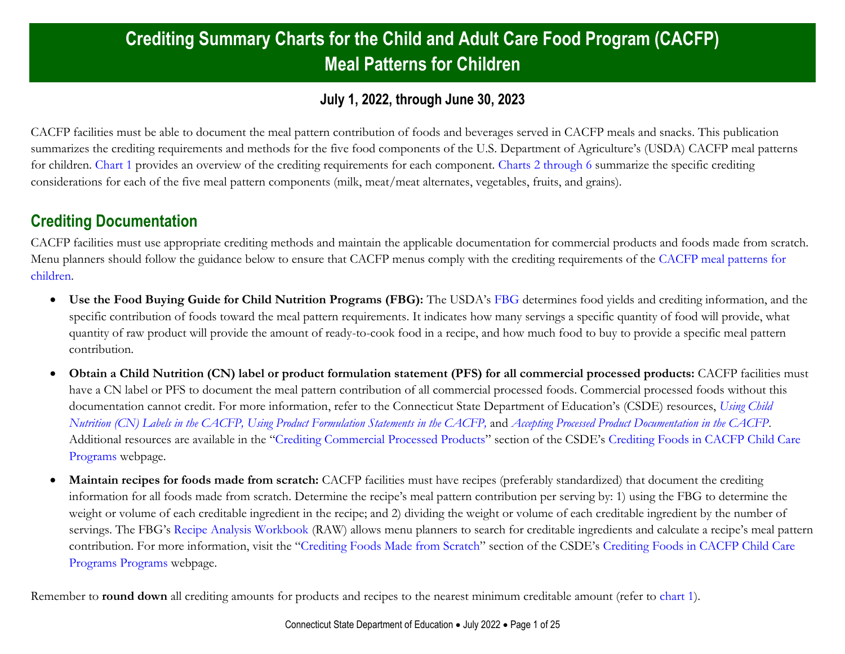## **Crediting Summary Charts for the Child and Adult Care Food Program (CACFP) Meal Patterns for Children**

#### **July 1, 2022, through June 30, 2023**

CACFP facilities must be able to document the meal pattern contribution of foods and beverages served in CACFP meals and snacks. This publication summarizes the crediting requirements and methods for the five food components of the U.S. Department of Agriculture's (USDA) CACFP meal patterns for children. [Chart](#page-1-0) 1 provides an overview of the crediting requirements for each component. [Charts 2 through 6](#page-2-0) summarize the specific crediting considerations for each of the five meal pattern components (milk, meat/meat alternates, vegetables, fruits, and grains).

#### <span id="page-0-0"></span>**Crediting Documentation**

CACFP facilities must use appropriate crediting methods and maintain the applicable documentation for commercial products and foods made from scratch. Menu planners should follow the guidance below to ensure that CACFP menus comply with the crediting requirements of the [CACFP meal patterns for](https://portal.ct.gov/-/media/SDE/Nutrition/CACFP/MealPattern/CACFPMealPattern.pdf)  [children.](https://portal.ct.gov/-/media/SDE/Nutrition/CACFP/MealPattern/CACFPMealPattern.pdf)

- **Use the Food Buying Guide for Child Nutrition Programs (FBG):** The USDA's [FBG](https://www.fns.usda.gov/tn/food-buying-guide-for-child-nutrition-programs) determines food yields and crediting information, and the specific contribution of foods toward the meal pattern requirements. It indicates how many servings a specific quantity of food will provide, what quantity of raw product will provide the amount of ready-to-cook food in a recipe, and how much food to buy to provide a specific meal pattern contribution.
- **Obtain a Child Nutrition (CN) label or product formulation statement (PFS) for all commercial processed products:** CACFP facilities must have a CN label or PFS to document the meal pattern contribution of all commercial processed foods. Commercial processed foods without this documentation cannot credit. For more information, refer to the Connecticut State Department of Education's (CSDE) resources, *[Using Child](https://portal.ct.gov/-/media/SDE/Nutrition/CACFP/Crediting/Using_CN_labels_CACFP.pdf)  [Nutrition \(CN\) Labels in the CACFP,](https://portal.ct.gov/-/media/SDE/Nutrition/CACFP/Crediting/Using_CN_labels_CACFP.pdf) [Using Product Formulation Statements](https://portal.ct.gov/-/media/SDE/Nutrition/CACFP/Crediting/Using_Product_Formulation_Statements_CACFP.pdf) in the CACFP,* and *[Accepting Processed Product Documentation in the CACFP](https://portal.ct.gov/-/media/SDE/Nutrition/CACFP/Crediting/Accepting_Processed_Product_Documentation_CACFP.pdf)*. Additional resources are available in the "[Crediting Commercial Processed Products](https://portal.ct.gov/SDE/Nutrition/Crediting-Foods-in-CACFP-Child-Care-Programs/Documents#CommercialProducts)" section of the CSDE's [Crediting Foods in CACFP Child Care](https://portal.ct.gov/SDE/Nutrition/Crediting-Foods-in-CACFP-Child-Care-Programs/Documents)  [Programs](https://portal.ct.gov/SDE/Nutrition/Crediting-Foods-in-CACFP-Child-Care-Programs/Documents) webpage.
- **Maintain recipes for foods made from scratch:** CACFP facilities must have recipes (preferably standardized) that document the crediting information for all foods made from scratch. Determine the recipe's meal pattern contribution per serving by: 1) using the FBG to determine the weight or volume of each creditable ingredient in the recipe; and 2) dividing the weight or volume of each creditable ingredient by the number of servings. The FBG's [Recipe Analysis Workbook](https://www.fns.usda.gov/tn/food-buying-guide-interactive-web-based-tool) (RAW) allows menu planners to search for creditable ingredients and calculate a recipe's meal pattern contribution. For more information, visit the "[Crediting Foods Made from Scratch](https://portal.ct.gov/SDE/Nutrition/Crediting-Foods-in-CACFP-Child-Care-Programs/Documents#ScratchFoods)" section of the CSDE's [Crediting Foods in CACFP Child Care](https://portal.ct.gov/SDE/Nutrition/Crediting-Foods-in-CACFP-Child-Care-Programs/Documents)  [Programs](https://portal.ct.gov/SDE/Nutrition/Crediting-Foods-in-CACFP-Child-Care-Programs/Documents) Programs webpage.

Remember to **round down** all crediting amounts for products and recipes to the nearest minimum creditable amount (refer to [chart 1\)](#page-1-0).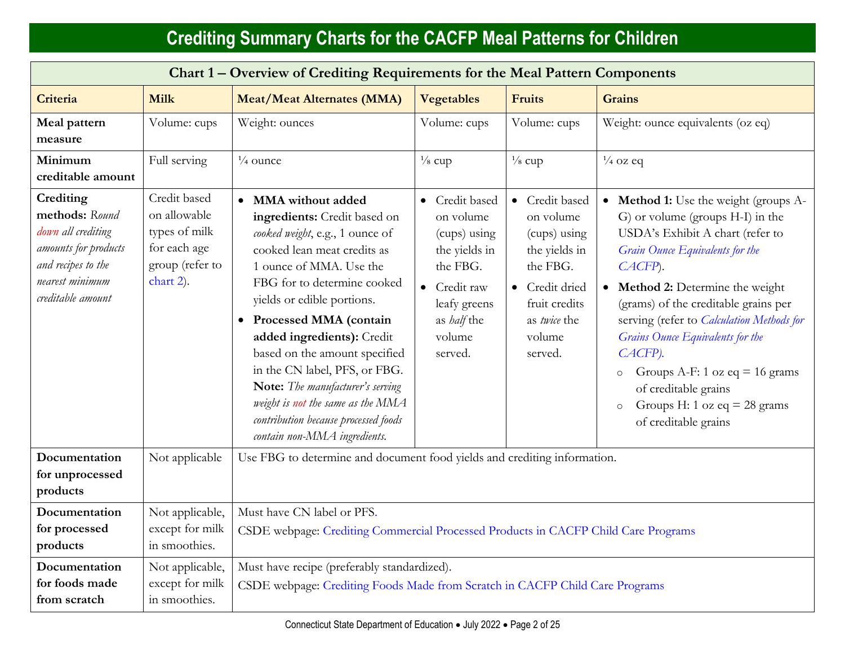<span id="page-1-0"></span>

| Chart 1 - Overview of Crediting Requirements for the Meal Pattern Components                                                            |                                                                                               |                                                                                                                                                                                                                                                                                                                                                                                                                                                                                            |                                                                                                                                                         |                                                                                                                                                  |                                                                                                                                                                                                                                                                                                                                                                                                                                                                                               |
|-----------------------------------------------------------------------------------------------------------------------------------------|-----------------------------------------------------------------------------------------------|--------------------------------------------------------------------------------------------------------------------------------------------------------------------------------------------------------------------------------------------------------------------------------------------------------------------------------------------------------------------------------------------------------------------------------------------------------------------------------------------|---------------------------------------------------------------------------------------------------------------------------------------------------------|--------------------------------------------------------------------------------------------------------------------------------------------------|-----------------------------------------------------------------------------------------------------------------------------------------------------------------------------------------------------------------------------------------------------------------------------------------------------------------------------------------------------------------------------------------------------------------------------------------------------------------------------------------------|
| Criteria                                                                                                                                | <b>Milk</b>                                                                                   | <b>Meat/Meat Alternates (MMA)</b>                                                                                                                                                                                                                                                                                                                                                                                                                                                          | <b>Vegetables</b>                                                                                                                                       | <b>Fruits</b>                                                                                                                                    | <b>Grains</b>                                                                                                                                                                                                                                                                                                                                                                                                                                                                                 |
| Meal pattern<br>measure                                                                                                                 | Volume: cups                                                                                  | Weight: ounces                                                                                                                                                                                                                                                                                                                                                                                                                                                                             | Volume: cups                                                                                                                                            | Volume: cups                                                                                                                                     | Weight: ounce equivalents (oz eq)                                                                                                                                                                                                                                                                                                                                                                                                                                                             |
| Minimum<br>creditable amount                                                                                                            | Full serving                                                                                  | $\frac{1}{4}$ ounce                                                                                                                                                                                                                                                                                                                                                                                                                                                                        | $\frac{1}{8}$ cup                                                                                                                                       | $\frac{1}{8}$ cup                                                                                                                                | $\frac{1}{4}$ oz eq                                                                                                                                                                                                                                                                                                                                                                                                                                                                           |
| Crediting<br>methods: Round<br>down all crediting<br>amounts for products<br>and recipes to the<br>nearest minimum<br>creditable amount | Credit based<br>on allowable<br>types of milk<br>for each age<br>group (refer to<br>chart 2). | • MMA without added<br>ingredients: Credit based on<br>cooked weight, e.g., 1 ounce of<br>cooked lean meat credits as<br>1 ounce of MMA. Use the<br>FBG for to determine cooked<br>yields or edible portions.<br>• Processed MMA (contain<br>added ingredients): Credit<br>based on the amount specified<br>in the CN label, PFS, or FBG.<br>Note: The manufacturer's serving<br>weight is not the same as the MMA<br>contribution because processed foods<br>contain non-MMA ingredients. | • Credit based<br>on volume<br>(cups) using<br>the yields in<br>the FBG.<br>Credit raw<br>$\bullet$<br>leafy greens<br>as half the<br>volume<br>served. | • Credit based<br>on volume<br>(cups) using<br>the yields in<br>the FBG.<br>• Credit dried<br>fruit credits<br>as twice the<br>volume<br>served. | • Method 1: Use the weight (groups A-<br>G) or volume (groups H-I) in the<br>USDA's Exhibit A chart (refer to<br>Grain Ounce Equivalents for the<br>CACFP).<br>Method 2: Determine the weight<br>$\bullet$<br>(grams) of the creditable grains per<br>serving (refer to <i>Calculation Methods for</i><br>Grains Ounce Equivalents for the<br>CACFP).<br>Groups A-F: 1 oz eq = 16 grams<br>$\circ$<br>of creditable grains<br>Groups H: 1 oz eq = 28 grams<br>$\circ$<br>of creditable grains |
| Documentation<br>for unprocessed<br>products                                                                                            | Not applicable                                                                                | Use FBG to determine and document food yields and crediting information.                                                                                                                                                                                                                                                                                                                                                                                                                   |                                                                                                                                                         |                                                                                                                                                  |                                                                                                                                                                                                                                                                                                                                                                                                                                                                                               |
| Documentation<br>for processed<br>products                                                                                              | Not applicable,<br>except for milk<br>in smoothies.                                           | Must have CN label or PFS.<br>CSDE webpage: Crediting Commercial Processed Products in CACFP Child Care Programs                                                                                                                                                                                                                                                                                                                                                                           |                                                                                                                                                         |                                                                                                                                                  |                                                                                                                                                                                                                                                                                                                                                                                                                                                                                               |
| Documentation<br>for foods made<br>from scratch                                                                                         | Not applicable,<br>except for milk<br>in smoothies.                                           | Must have recipe (preferably standardized).<br>CSDE webpage: Crediting Foods Made from Scratch in CACFP Child Care Programs                                                                                                                                                                                                                                                                                                                                                                |                                                                                                                                                         |                                                                                                                                                  |                                                                                                                                                                                                                                                                                                                                                                                                                                                                                               |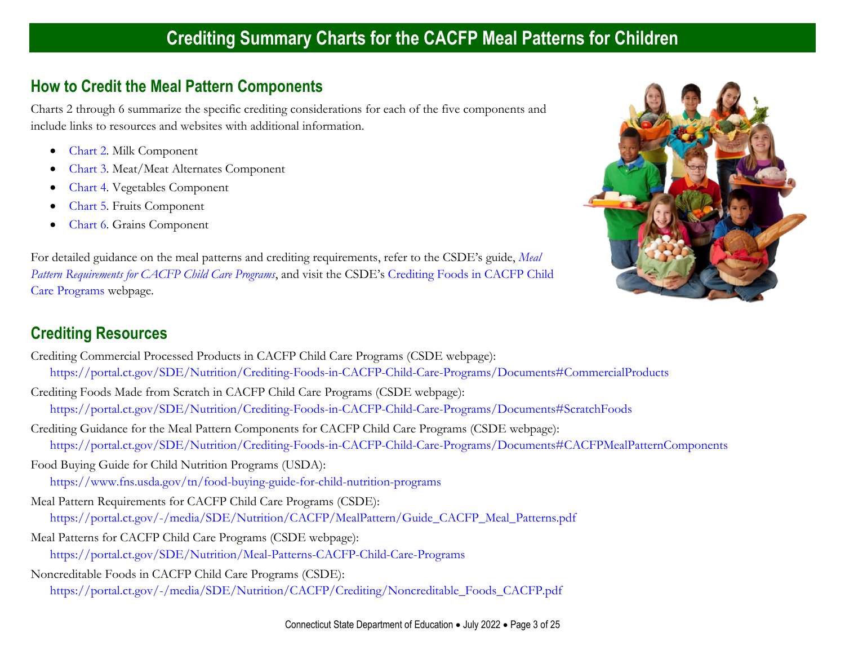#### <span id="page-2-0"></span>**How to Credit the Meal Pattern Components**

Charts 2 through 6 summarize the specific crediting considerations for each of the five components and include links to resources and websites with additional information.

- [Chart](#page-3-0) 2. Milk Component
- [Chart](#page-5-0) 3. Meat/Meat Alternates Component
- [Chart](#page-12-0) 4. Vegetables Component
- [Chart](#page-15-0) 5. Fruits Component
- [Chart](#page-18-0) 6. Grains Component

For detailed guidance on the meal patterns and crediting requirements, refer to the CSDE's guide, *[Meal](https://portal.ct.gov/-/media/SDE/Nutrition/CACFP/MealPattern/Guide_CACFP_Meal_Patterns.pdf)  [Pattern Requirements for CACFP Child Care Programs](https://portal.ct.gov/-/media/SDE/Nutrition/CACFP/MealPattern/Guide_CACFP_Meal_Patterns.pdf)*, and visit the CSDE's [Crediting Foods in](https://portal.ct.gov/SDE/Nutrition/Crediting-Foods-in-CACFP-Child-Care-Programs/Documents) CACFP Child [Care Programs](https://portal.ct.gov/SDE/Nutrition/Crediting-Foods-in-CACFP-Child-Care-Programs/Documents) webpage.



#### **Crediting Resources**

Crediting Commercial Processed Products in CACFP Child Care Programs (CSDE webpage): <https://portal.ct.gov/SDE/Nutrition/Crediting-Foods-in-CACFP-Child-Care-Programs/Documents#CommercialProducts> Crediting Foods Made from Scratch in CACFP Child Care Programs (CSDE webpage): <https://portal.ct.gov/SDE/Nutrition/Crediting-Foods-in-CACFP-Child-Care-Programs/Documents#ScratchFoods> Crediting Guidance for the Meal Pattern Components for CACFP Child Care Programs (CSDE webpage): <https://portal.ct.gov/SDE/Nutrition/Crediting-Foods-in-CACFP-Child-Care-Programs/Documents#CACFPMealPatternComponents>

Food Buying Guide for Child Nutrition Programs (USDA): <https://www.fns.usda.gov/tn/food-buying-guide-for-child-nutrition-programs>

- Meal Pattern Requirements for CACFP Child Care Programs (CSDE): [https://portal.ct.gov/-/media/SDE/Nutrition/CACFP/MealPattern/Guide\\_CACFP\\_Meal\\_Patterns.pdf](https://portal.ct.gov/-/media/SDE/Nutrition/CACFP/MealPattern/Guide_CACFP_Meal_Patterns.pdf)
- Meal Patterns for CACFP Child Care Programs (CSDE webpage): <https://portal.ct.gov/SDE/Nutrition/Meal-Patterns-CACFP-Child-Care-Programs>
- Noncreditable Foods in CACFP Child Care Programs (CSDE):
	- [https://portal.ct.gov/-/media/SDE/Nutrition/CACFP/Crediting/Noncreditable\\_Foods\\_CACFP.pdf](https://portal.ct.gov/-/media/SDE/Nutrition/CACFP/Crediting/Noncreditable_Foods_CACFP.pdf)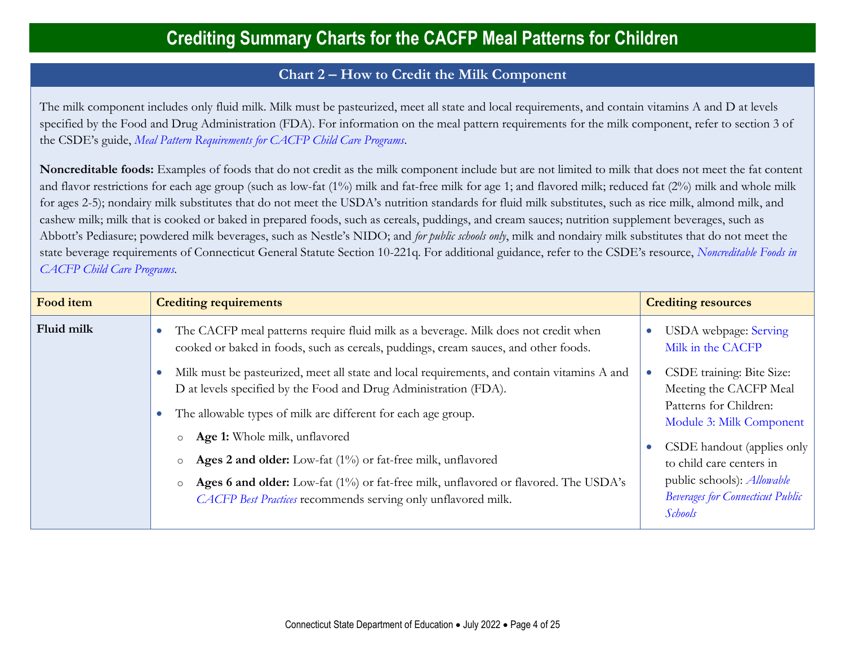#### **Chart 2** − **How to Credit the Milk Component**

<span id="page-3-0"></span>The milk component includes only fluid milk. Milk must be pasteurized, meet all state and local requirements, and contain vitamins A and D at levels specified by the Food and Drug Administration (FDA). For information on the meal pattern requirements for the milk component, refer to section 3 of the CSDE's guide, *[Meal Pattern Requirements for CACFP Child Care Programs](https://portal.ct.gov/-/media/SDE/Nutrition/CACFP/MealPattern/Guide_CACFP_Meal_Patterns.pdf)*.

**Noncreditable foods:** Examples of foods that do not credit as the milk component include but are not limited to milk that does not meet the fat content and flavor restrictions for each age group (such as low-fat (1%) milk and fat-free milk for age 1; and flavored milk; reduced fat (2%) milk and whole milk for ages 2-5); nondairy milk substitutes that do not meet the USDA's nutrition standards for fluid milk substitutes, such as rice milk, almond milk, and cashew milk; milk that is cooked or baked in prepared foods, such as cereals, puddings, and cream sauces; nutrition supplement beverages, such as Abbott's Pediasure; powdered milk beverages, such as Nestle's NIDO; and *for public schools only*, milk and nondairy milk substitutes that do not meet the state beverage requirements of Connecticut General Statute Section 10-221q. For additional guidance, refer to the CSDE's resource, *[Noncreditable Foods in](https://portal.ct.gov/-/media/SDE/Nutrition/CACFP/Crediting/Noncreditable_Foods_CACFP.pdf)  [CACFP Child Care Programs.](https://portal.ct.gov/-/media/SDE/Nutrition/CACFP/Crediting/Noncreditable_Foods_CACFP.pdf)*

<span id="page-3-1"></span>

| Food item  |
|------------|
| Fluid milk |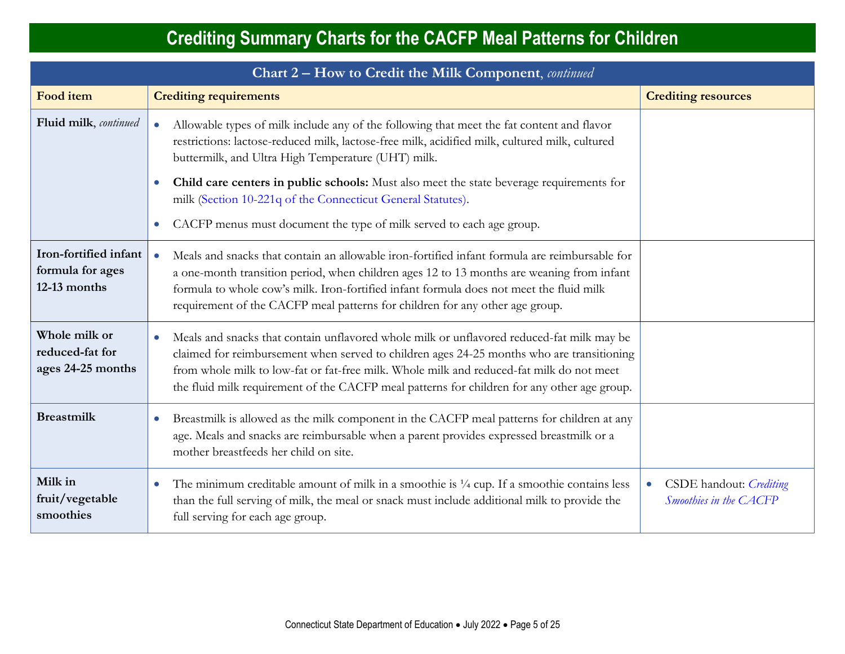| Chart 2 – How to Credit the Milk Component, continued     |                                                                                                                                                                                                                                                                                                                                                                                                                                                                                                                             |                                                                |  |  |
|-----------------------------------------------------------|-----------------------------------------------------------------------------------------------------------------------------------------------------------------------------------------------------------------------------------------------------------------------------------------------------------------------------------------------------------------------------------------------------------------------------------------------------------------------------------------------------------------------------|----------------------------------------------------------------|--|--|
| Food item                                                 | <b>Crediting requirements</b>                                                                                                                                                                                                                                                                                                                                                                                                                                                                                               | <b>Crediting resources</b>                                     |  |  |
| Fluid milk, continued                                     | Allowable types of milk include any of the following that meet the fat content and flavor<br>$\bullet$<br>restrictions: lactose-reduced milk, lactose-free milk, acidified milk, cultured milk, cultured<br>buttermilk, and Ultra High Temperature (UHT) milk.<br>Child care centers in public schools: Must also meet the state beverage requirements for<br>$\bullet$<br>milk (Section 10-221q of the Connecticut General Statutes).<br>CACFP menus must document the type of milk served to each age group.<br>$\bullet$ |                                                                |  |  |
| Iron-fortified infant<br>formula for ages<br>12-13 months | Meals and snacks that contain an allowable iron-fortified infant formula are reimbursable for<br>$\bullet$<br>a one-month transition period, when children ages 12 to 13 months are weaning from infant<br>formula to whole cow's milk. Iron-fortified infant formula does not meet the fluid milk<br>requirement of the CACFP meal patterns for children for any other age group.                                                                                                                                          |                                                                |  |  |
| Whole milk or<br>reduced-fat for<br>ages 24-25 months     | Meals and snacks that contain unflavored whole milk or unflavored reduced-fat milk may be<br>$\bullet$<br>claimed for reimbursement when served to children ages 24-25 months who are transitioning<br>from whole milk to low-fat or fat-free milk. Whole milk and reduced-fat milk do not meet<br>the fluid milk requirement of the CACFP meal patterns for children for any other age group.                                                                                                                              |                                                                |  |  |
| <b>Breastmilk</b>                                         | Breastmilk is allowed as the milk component in the CACFP meal patterns for children at any<br>$\bullet$<br>age. Meals and snacks are reimbursable when a parent provides expressed breastmilk or a<br>mother breastfeeds her child on site.                                                                                                                                                                                                                                                                                 |                                                                |  |  |
| Milk in<br>fruit/vegetable<br>smoothies                   | The minimum creditable amount of milk in a smoothie is $\frac{1}{4}$ cup. If a smoothie contains less<br>$\bullet$<br>than the full serving of milk, the meal or snack must include additional milk to provide the<br>full serving for each age group.                                                                                                                                                                                                                                                                      | CSDE handout: Crediting<br>$\bullet$<br>Smoothies in the CACFP |  |  |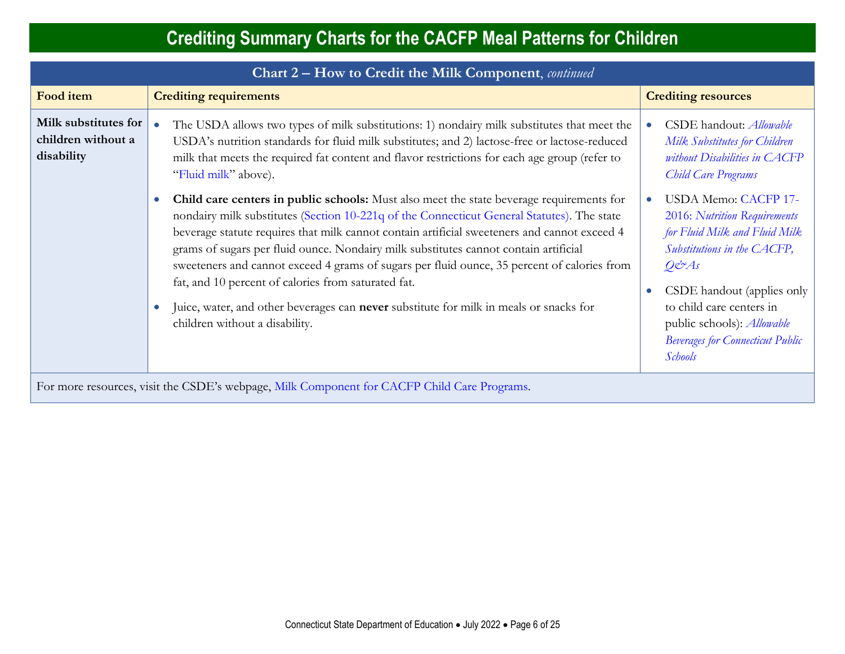|                                                                                               |                                                                                                                                                                                                                                                                                                                                                                                                                                                                                                                                                                                                                                |  | Chart 2 – How to Credit the Milk Component, continued                                                                                                                                                                                                                                        |  |  |  |  |
|-----------------------------------------------------------------------------------------------|--------------------------------------------------------------------------------------------------------------------------------------------------------------------------------------------------------------------------------------------------------------------------------------------------------------------------------------------------------------------------------------------------------------------------------------------------------------------------------------------------------------------------------------------------------------------------------------------------------------------------------|--|----------------------------------------------------------------------------------------------------------------------------------------------------------------------------------------------------------------------------------------------------------------------------------------------|--|--|--|--|
| Food item                                                                                     | <b>Crediting requirements</b>                                                                                                                                                                                                                                                                                                                                                                                                                                                                                                                                                                                                  |  | <b>Crediting resources</b>                                                                                                                                                                                                                                                                   |  |  |  |  |
| Milk substitutes for<br>$\bullet$<br>children without a<br>disability<br>"Fluid milk" above). | The USDA allows two types of milk substitutions: 1) nondairy milk substitutes that meet the<br>USDA's nutrition standards for fluid milk substitutes; and 2) lactose-free or lactose-reduced<br>milk that meets the required fat content and flavor restrictions for each age group (refer to                                                                                                                                                                                                                                                                                                                                  |  | CSDE handout: <i>Allowable</i><br>Milk Substitutes for Children<br>without Disabilities in CACFP<br>Child Care Programs                                                                                                                                                                      |  |  |  |  |
| children without a disability.                                                                | Child care centers in public schools: Must also meet the state beverage requirements for<br>nondairy milk substitutes (Section 10-221q of the Connecticut General Statutes). The state<br>beverage statute requires that milk cannot contain artificial sweeteners and cannot exceed 4<br>grams of sugars per fluid ounce. Nondairy milk substitutes cannot contain artificial<br>sweeteners and cannot exceed 4 grams of sugars per fluid ounce, 35 percent of calories from<br>fat, and 10 percent of calories from saturated fat.<br>Juice, water, and other beverages can never substitute for milk in meals or snacks for |  | USDA Memo: CACFP 17-<br>2016: Nutrition Requirements<br>for Fluid Milk and Fluid Milk<br>Substitutions in the CACFP,<br>$Q\acute{c}zAs$<br>CSDE handout (applies only<br>to child care centers in<br>public schools): Allowable<br><b>Beverages for Connecticut Public</b><br><b>Schools</b> |  |  |  |  |

<span id="page-5-0"></span>For more resources, visit the CSDE's webpage, [Milk Component for CACFP Child Care Programs.](https://portal.ct.gov/SDE/Nutrition/Crediting-Foods-in-CACFP-Child-Care-Programs/Documents#Milk)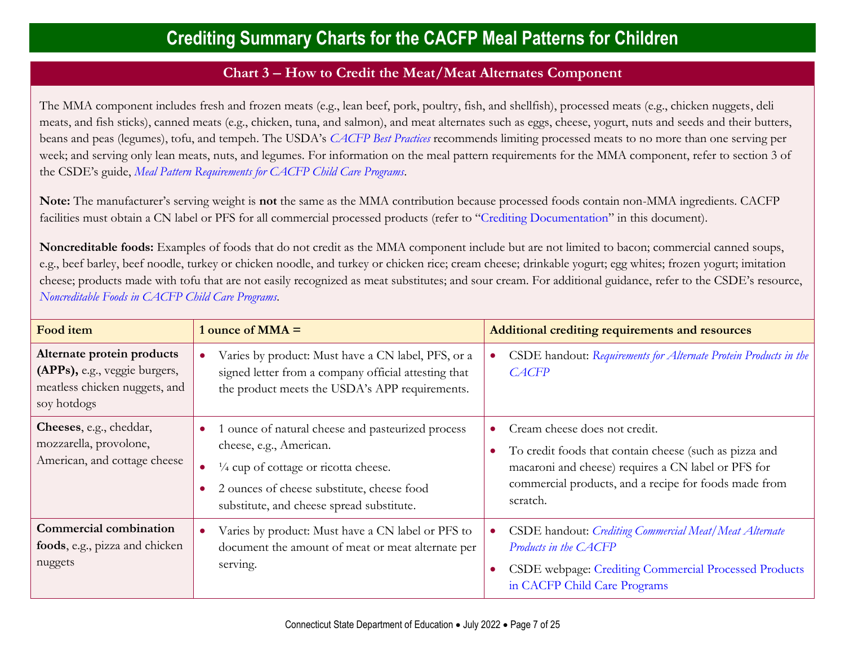#### **Chart 3** − **How to Credit the Meat/Meat Alternates Component**

The MMA component includes fresh and frozen meats (e.g., lean beef, pork, poultry, fish, and shellfish), processed meats (e.g., chicken nuggets, deli meats, and fish sticks), canned meats (e.g., chicken, tuna, and salmon), and meat alternates such as eggs, cheese, yogurt, nuts and seeds and their butters, beans and peas (legumes), tofu, and tempeh. The USDA's *[CACFP Best Practices](https://fns-prod.azureedge.us/sites/default/files/cacfp/CACFP_factBP.pdf)* recommends limiting processed meats to no more than one serving per week; and serving only lean meats, nuts, and legumes. For information on the meal pattern requirements for the MMA component, refer to section 3 of the CSDE's guide, *[Meal Pattern Requirements for CACFP Child Care Programs](https://portal.ct.gov/-/media/SDE/Nutrition/CACFP/MealPattern/Guide_CACFP_Meal_Patterns.pdf)*.

**Note:** The manufacturer's serving weight is **not** the same as the MMA contribution because processed foods contain non-MMA ingredients. CACFP facilities must obtain a CN label or PFS for all commercial processed products (refer to "[Crediting Documentation](#page-0-0)" in this document).

**Noncreditable foods:** Examples of foods that do not credit as the MMA component include but are not limited to bacon; commercial canned soups, e.g., beef barley, beef noodle, turkey or chicken noodle, and turkey or chicken rice; cream cheese; drinkable yogurt; egg whites; frozen yogurt; imitation cheese; products made with tofu that are not easily recognized as meat substitutes; and sour cream. For additional guidance, refer to the CSDE's resource, *[Noncreditable Foods in CACFP Child Care Programs.](https://portal.ct.gov/-/media/SDE/Nutrition/CACFP/Crediting/Noncreditable_Foods_CACFP.pdf)*

| Food item                                                                                                   | 1 ounce of $MMA =$                                                                                                                                                                                                          | Additional crediting requirements and resources                                                                                                                                                                     |
|-------------------------------------------------------------------------------------------------------------|-----------------------------------------------------------------------------------------------------------------------------------------------------------------------------------------------------------------------------|---------------------------------------------------------------------------------------------------------------------------------------------------------------------------------------------------------------------|
| Alternate protein products<br>(APPs), e.g., veggie burgers,<br>meatless chicken nuggets, and<br>soy hotdogs | Varies by product: Must have a CN label, PFS, or a<br>signed letter from a company official attesting that<br>the product meets the USDA's APP requirements.                                                                | CSDE handout: Requirements for Alternate Protein Products in the<br><b>CACFP</b>                                                                                                                                    |
| Cheeses, e.g., cheddar,<br>mozzarella, provolone,<br>American, and cottage cheese                           | ounce of natural cheese and pasteurized process<br>cheese, e.g., American.<br>1/4 cup of cottage or ricotta cheese.<br>$\bullet$<br>2 ounces of cheese substitute, cheese food<br>substitute, and cheese spread substitute. | Cream cheese does not credit.<br>To credit foods that contain cheese (such as pizza and<br>macaroni and cheese) requires a CN label or PFS for<br>commercial products, and a recipe for foods made from<br>scratch. |
| <b>Commercial combination</b><br>foods, e.g., pizza and chicken<br>nuggets                                  | Varies by product: Must have a CN label or PFS to<br>$\bullet$<br>document the amount of meat or meat alternate per<br>serving.                                                                                             | CSDE handout: Crediting Commercial Meat/Meat Alternate<br>Products in the CACFP<br>CSDE webpage: Crediting Commercial Processed Products<br>in CACFP Child Care Programs                                            |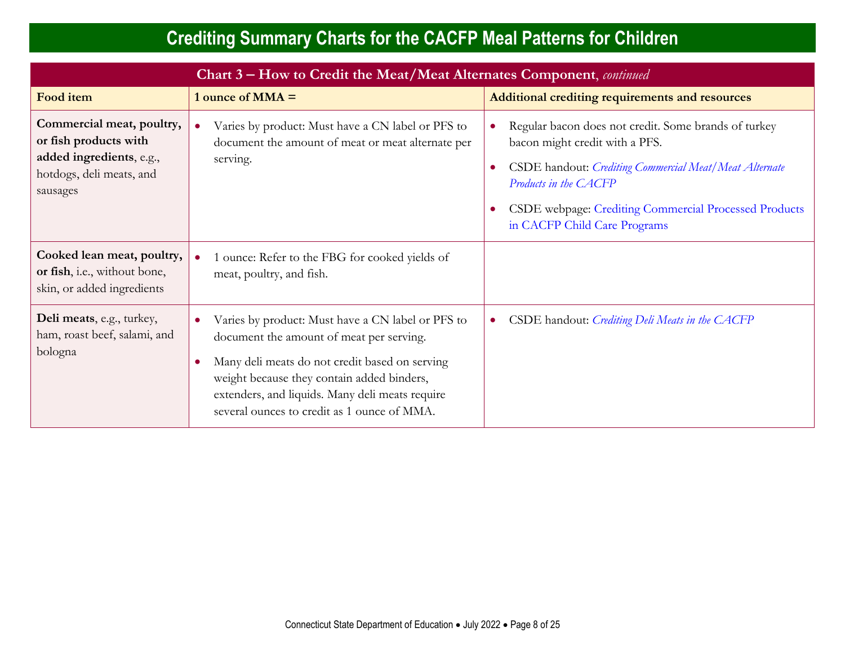| Chart 3 – How to Credit the Meat/Meat Alternates Component, continued                                                  |                                                                                                                                                                                                                                                                                                                           |                                                                                                                                                                                                                                                                                 |  |  |
|------------------------------------------------------------------------------------------------------------------------|---------------------------------------------------------------------------------------------------------------------------------------------------------------------------------------------------------------------------------------------------------------------------------------------------------------------------|---------------------------------------------------------------------------------------------------------------------------------------------------------------------------------------------------------------------------------------------------------------------------------|--|--|
| <b>Food item</b>                                                                                                       | 1 ounce of $MMA =$                                                                                                                                                                                                                                                                                                        | <b>Additional crediting requirements and resources</b>                                                                                                                                                                                                                          |  |  |
| Commercial meat, poultry,<br>or fish products with<br>added ingredients, e.g.,<br>hotdogs, deli meats, and<br>sausages | Varies by product: Must have a CN label or PFS to<br>document the amount of meat or meat alternate per<br>serving.                                                                                                                                                                                                        | Regular bacon does not credit. Some brands of turkey<br>bacon might credit with a PFS.<br>CSDE handout: Crediting Commercial Meat/Meat Alternate<br>Products in the CACFP<br>CSDE webpage: Crediting Commercial Processed Products<br>$\bullet$<br>in CACFP Child Care Programs |  |  |
| Cooked lean meat, poultry,<br>or fish, i.e., without bone,<br>skin, or added ingredients                               | 1 ounce: Refer to the FBG for cooked yields of<br>meat, poultry, and fish.                                                                                                                                                                                                                                                |                                                                                                                                                                                                                                                                                 |  |  |
| Deli meats, e.g., turkey,<br>ham, roast beef, salami, and<br>bologna                                                   | Varies by product: Must have a CN label or PFS to<br>$\bullet$<br>document the amount of meat per serving.<br>Many deli meats do not credit based on serving<br>$\bullet$<br>weight because they contain added binders,<br>extenders, and liquids. Many deli meats require<br>several ounces to credit as 1 ounce of MMA. | CSDE handout: Crediting Deli Meats in the CACFP<br>$\bullet$                                                                                                                                                                                                                    |  |  |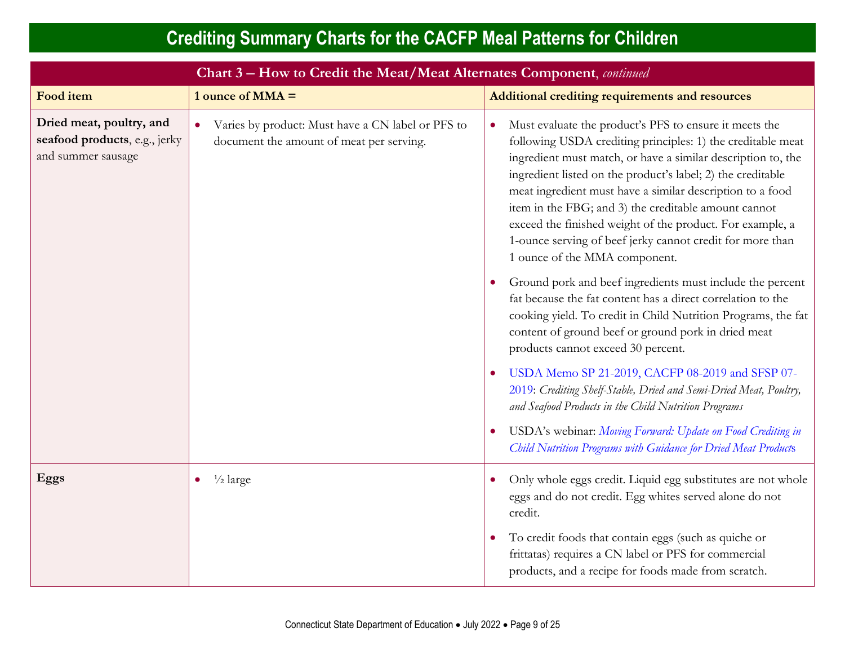| Chart 3 - How to Credit the Meat/Meat Alternates Component, continued           |                                                                                               |                                                                                                                                                                                                                                                                                                                                                                                                                                                                                                                                      |  |  |
|---------------------------------------------------------------------------------|-----------------------------------------------------------------------------------------------|--------------------------------------------------------------------------------------------------------------------------------------------------------------------------------------------------------------------------------------------------------------------------------------------------------------------------------------------------------------------------------------------------------------------------------------------------------------------------------------------------------------------------------------|--|--|
| Food item                                                                       | 1 ounce of $MMA =$                                                                            | Additional crediting requirements and resources                                                                                                                                                                                                                                                                                                                                                                                                                                                                                      |  |  |
| Dried meat, poultry, and<br>seafood products, e.g., jerky<br>and summer sausage | Varies by product: Must have a CN label or PFS to<br>document the amount of meat per serving. | Must evaluate the product's PFS to ensure it meets the<br>following USDA crediting principles: 1) the creditable meat<br>ingredient must match, or have a similar description to, the<br>ingredient listed on the product's label; 2) the creditable<br>meat ingredient must have a similar description to a food<br>item in the FBG; and 3) the creditable amount cannot<br>exceed the finished weight of the product. For example, a<br>1-ounce serving of beef jerky cannot credit for more than<br>1 ounce of the MMA component. |  |  |
|                                                                                 |                                                                                               | Ground pork and beef ingredients must include the percent<br>fat because the fat content has a direct correlation to the<br>cooking yield. To credit in Child Nutrition Programs, the fat<br>content of ground beef or ground pork in dried meat<br>products cannot exceed 30 percent.                                                                                                                                                                                                                                               |  |  |
|                                                                                 |                                                                                               | USDA Memo SP 21-2019, CACFP 08-2019 and SFSP 07-<br>2019: Crediting Shelf-Stable, Dried and Semi-Dried Meat, Poultry,<br>and Seafood Products in the Child Nutrition Programs<br>USDA's webinar: Moving Forward: Update on Food Crediting in                                                                                                                                                                                                                                                                                         |  |  |
|                                                                                 |                                                                                               | Child Nutrition Programs with Guidance for Dried Meat Products                                                                                                                                                                                                                                                                                                                                                                                                                                                                       |  |  |
| Eggs                                                                            | $\frac{1}{2}$ large                                                                           | Only whole eggs credit. Liquid egg substitutes are not whole<br>eggs and do not credit. Egg whites served alone do not<br>credit.                                                                                                                                                                                                                                                                                                                                                                                                    |  |  |
|                                                                                 |                                                                                               | To credit foods that contain eggs (such as quiche or<br>frittatas) requires a CN label or PFS for commercial<br>products, and a recipe for foods made from scratch.                                                                                                                                                                                                                                                                                                                                                                  |  |  |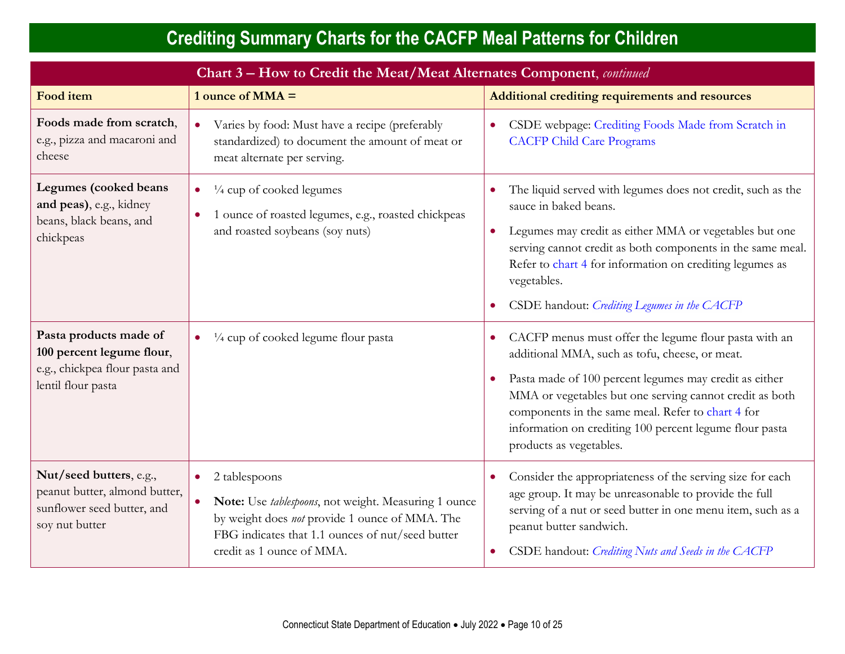| Chart 3 - How to Credit the Meat/Meat Alternates Component, continued                                       |                                                                                                                                                                                                                                    |                                                                                                                                                                                                                                                                                                                                                                         |  |  |
|-------------------------------------------------------------------------------------------------------------|------------------------------------------------------------------------------------------------------------------------------------------------------------------------------------------------------------------------------------|-------------------------------------------------------------------------------------------------------------------------------------------------------------------------------------------------------------------------------------------------------------------------------------------------------------------------------------------------------------------------|--|--|
| <b>Food item</b>                                                                                            | 1 ounce of $MMA =$                                                                                                                                                                                                                 | Additional crediting requirements and resources                                                                                                                                                                                                                                                                                                                         |  |  |
| Foods made from scratch,<br>e.g., pizza and macaroni and<br>cheese                                          | Varies by food: Must have a recipe (preferably<br>$\bullet$<br>standardized) to document the amount of meat or<br>meat alternate per serving.                                                                                      | CSDE webpage: Crediting Foods Made from Scratch in<br><b>CACFP Child Care Programs</b>                                                                                                                                                                                                                                                                                  |  |  |
| Legumes (cooked beans<br>and peas), e.g., kidney<br>beans, black beans, and<br>chickpeas                    | $\frac{1}{4}$ cup of cooked legumes<br>1 ounce of roasted legumes, e.g., roasted chickpeas<br>and roasted soybeans (soy nuts)                                                                                                      | The liquid served with legumes does not credit, such as the<br>sauce in baked beans.<br>Legumes may credit as either MMA or vegetables but one<br>serving cannot credit as both components in the same meal.<br>Refer to chart 4 for information on crediting legumes as<br>vegetables.<br>CSDE handout: Crediting Legumes in the CACFP                                 |  |  |
| Pasta products made of<br>100 percent legume flour,<br>e.g., chickpea flour pasta and<br>lentil flour pasta | $\frac{1}{4}$ cup of cooked legume flour pasta                                                                                                                                                                                     | CACFP menus must offer the legume flour pasta with an<br>additional MMA, such as tofu, cheese, or meat.<br>Pasta made of 100 percent legumes may credit as either<br>MMA or vegetables but one serving cannot credit as both<br>components in the same meal. Refer to chart 4 for<br>information on crediting 100 percent legume flour pasta<br>products as vegetables. |  |  |
| Nut/seed butters, e.g.,<br>peanut butter, almond butter,<br>sunflower seed butter, and<br>soy nut butter    | 2 tablespoons<br>$\bullet$<br>Note: Use tablespoons, not weight. Measuring 1 ounce<br>$\bullet$<br>by weight does not provide 1 ounce of MMA. The<br>FBG indicates that 1.1 ounces of nut/seed butter<br>credit as 1 ounce of MMA. | Consider the appropriateness of the serving size for each<br>$\bullet$<br>age group. It may be unreasonable to provide the full<br>serving of a nut or seed butter in one menu item, such as a<br>peanut butter sandwich.<br>CSDE handout: Crediting Nuts and Seeds in the CACFP                                                                                        |  |  |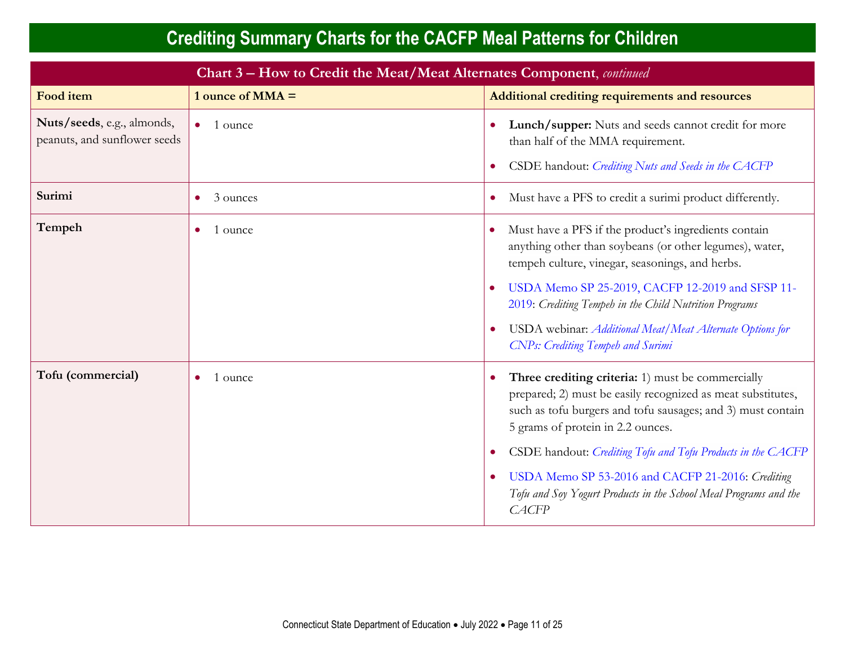|                                                            | Chart 3 – How to Credit the Meat/Meat Alternates Component, continued |                                                                                                                                                                                                                                                                                                                                                                                                                                                        |  |
|------------------------------------------------------------|-----------------------------------------------------------------------|--------------------------------------------------------------------------------------------------------------------------------------------------------------------------------------------------------------------------------------------------------------------------------------------------------------------------------------------------------------------------------------------------------------------------------------------------------|--|
| Food item                                                  | 1 ounce of $MMA =$                                                    | Additional crediting requirements and resources                                                                                                                                                                                                                                                                                                                                                                                                        |  |
| Nuts/seeds, e.g., almonds,<br>peanuts, and sunflower seeds | 1 ounce                                                               | Lunch/supper: Nuts and seeds cannot credit for more<br>than half of the MMA requirement.<br>CSDE handout: Crediting Nuts and Seeds in the CACFP                                                                                                                                                                                                                                                                                                        |  |
| Surimi                                                     | 3 ounces                                                              | Must have a PFS to credit a surimi product differently.<br>$\bullet$                                                                                                                                                                                                                                                                                                                                                                                   |  |
| Tempeh                                                     | 1 ounce<br>$\bullet$                                                  | Must have a PFS if the product's ingredients contain<br>anything other than soybeans (or other legumes), water,<br>tempeh culture, vinegar, seasonings, and herbs.<br>USDA Memo SP 25-2019, CACFP 12-2019 and SFSP 11-<br>2019: Crediting Tempeh in the Child Nutrition Programs<br>USDA webinar: Additional Meat/Meat Alternate Options for<br><b>CNPs: Crediting Tempeh and Surimi</b>                                                               |  |
| Tofu (commercial)                                          | 1 ounce<br>$\bullet$                                                  | Three crediting criteria: 1) must be commercially<br>prepared; 2) must be easily recognized as meat substitutes,<br>such as tofu burgers and tofu sausages; and 3) must contain<br>5 grams of protein in 2.2 ounces.<br>CSDE handout: Crediting Tofu and Tofu Products in the CACFP<br>$\bullet$<br>USDA Memo SP 53-2016 and CACFP 21-2016: Crediting<br>$\bullet$<br>Tofu and Soy Yogurt Products in the School Meal Programs and the<br><b>CACFP</b> |  |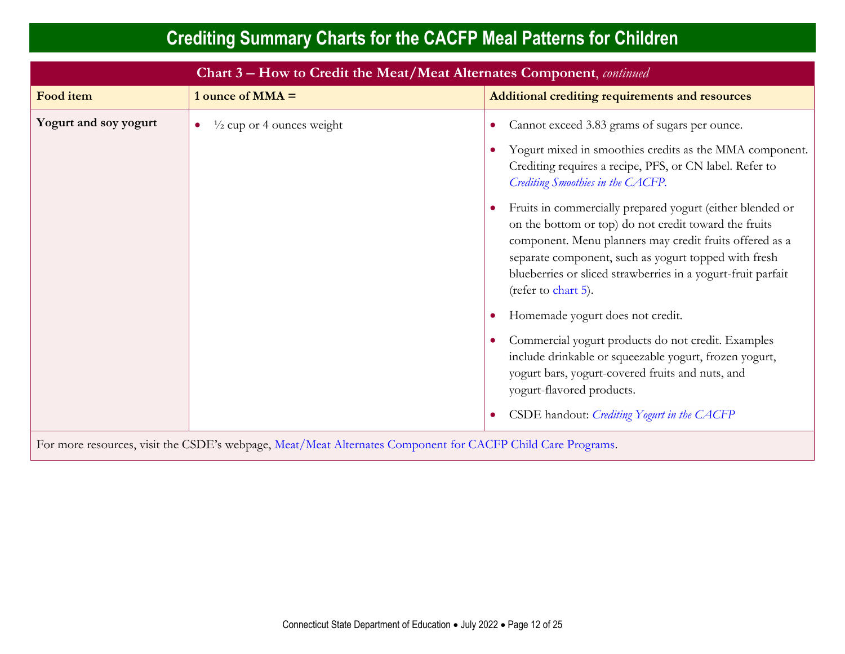|                                                                                                             | Chart 3 – How to Credit the Meat/Meat Alternates Component, continued |                                                                                                                                                                                                                                                                                                                                                                                                                                                                                                                                                                                                                                                                                                                                                                                                                              |  |
|-------------------------------------------------------------------------------------------------------------|-----------------------------------------------------------------------|------------------------------------------------------------------------------------------------------------------------------------------------------------------------------------------------------------------------------------------------------------------------------------------------------------------------------------------------------------------------------------------------------------------------------------------------------------------------------------------------------------------------------------------------------------------------------------------------------------------------------------------------------------------------------------------------------------------------------------------------------------------------------------------------------------------------------|--|
| Food item                                                                                                   | 1 ounce of $MMA =$                                                    | Additional crediting requirements and resources                                                                                                                                                                                                                                                                                                                                                                                                                                                                                                                                                                                                                                                                                                                                                                              |  |
| Yogurt and soy yogurt                                                                                       | $\frac{1}{2}$ cup or 4 ounces weight                                  | Cannot exceed 3.83 grams of sugars per ounce.<br>Yogurt mixed in smoothies credits as the MMA component.<br>Crediting requires a recipe, PFS, or CN label. Refer to<br>Crediting Smoothies in the CACFP.<br>Fruits in commercially prepared yogurt (either blended or<br>on the bottom or top) do not credit toward the fruits<br>component. Menu planners may credit fruits offered as a<br>separate component, such as yogurt topped with fresh<br>blueberries or sliced strawberries in a yogurt-fruit parfait<br>(refer to chart 5).<br>Homemade yogurt does not credit.<br>Commercial yogurt products do not credit. Examples<br>include drinkable or squeezable yogurt, frozen yogurt,<br>yogurt bars, yogurt-covered fruits and nuts, and<br>yogurt-flavored products.<br>CSDE handout: Crediting Yogurt in the CACFP |  |
| For more resources, visit the CSDE's webpage, Meat/Meat Alternates Component for CACFP Child Care Programs. |                                                                       |                                                                                                                                                                                                                                                                                                                                                                                                                                                                                                                                                                                                                                                                                                                                                                                                                              |  |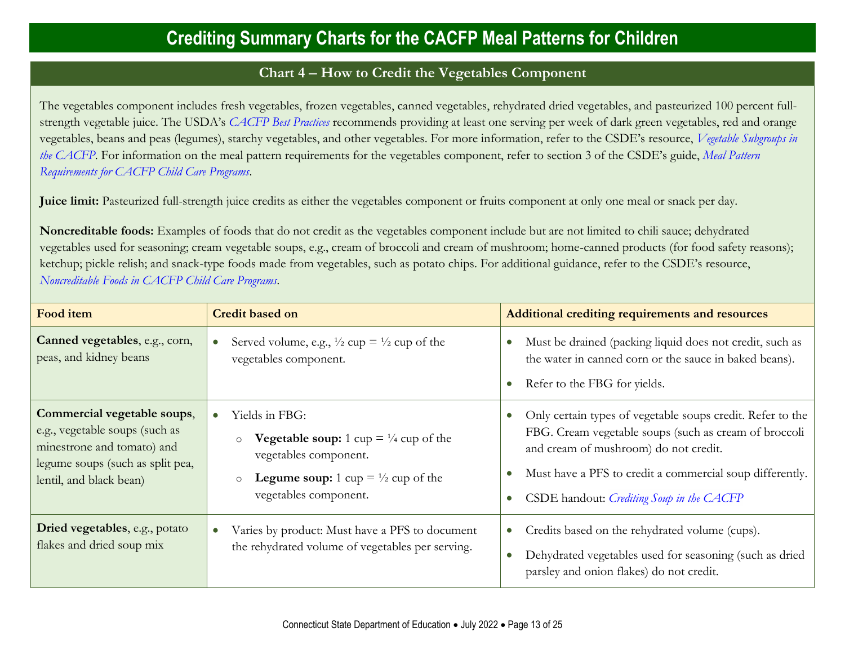#### **Chart 4** − **How to Credit the Vegetables Component**

<span id="page-12-0"></span>The vegetables component includes fresh vegetables, frozen vegetables, canned vegetables, rehydrated dried vegetables, and pasteurized 100 percent fullstrength vegetable juice. The USDA's *[CACFP Best Practices](https://fns-prod.azureedge.us/sites/default/files/cacfp/CACFP_factBP.pdf)* recommends providing at least one serving per week of dark green vegetables, red and orange vegetables, beans and peas (legumes), starchy vegetables, and other vegetables. For more information, refer to the CSDE's resource, *[Vegetable Subgroups in](https://portal.ct.gov/-/media/SDE/Nutrition/CACFP/Crediting/VegetableSubgroupsCACFP.pdf)  [the CACFP](https://portal.ct.gov/-/media/SDE/Nutrition/CACFP/Crediting/VegetableSubgroupsCACFP.pdf)*. For information on the meal pattern requirements for the vegetables component, refer to section 3 of the CSDE's guide, *[Meal Pattern](https://portal.ct.gov/-/media/SDE/Nutrition/CACFP/MealPattern/Guide_CACFP_Meal_Patterns.pdf)  [Requirements for CACFP Child Care Programs](https://portal.ct.gov/-/media/SDE/Nutrition/CACFP/MealPattern/Guide_CACFP_Meal_Patterns.pdf)*.

**Juice limit:** Pasteurized full-strength juice credits as either the vegetables component or fruits component at only one meal or snack per day.

**Noncreditable foods:** Examples of foods that do not credit as the vegetables component include but are not limited to chili sauce; dehydrated vegetables used for seasoning; cream vegetable soups, e.g., cream of broccoli and cream of mushroom; home-canned products (for food safety reasons); ketchup; pickle relish; and snack-type foods made from vegetables, such as potato chips. For additional guidance, refer to the CSDE's resource, *[Noncreditable Foods in CACFP Child Care Programs.](https://portal.ct.gov/-/media/SDE/Nutrition/CACFP/Crediting/Noncreditable_Foods_CACFP.pdf)*

| Food item                                                                                                                                                  | <b>Credit based on</b>                                                                                                                                                                                    | Additional crediting requirements and resources                                                                                                                                                                                                                       |
|------------------------------------------------------------------------------------------------------------------------------------------------------------|-----------------------------------------------------------------------------------------------------------------------------------------------------------------------------------------------------------|-----------------------------------------------------------------------------------------------------------------------------------------------------------------------------------------------------------------------------------------------------------------------|
| Canned vegetables, e.g., corn,<br>peas, and kidney beans                                                                                                   | Served volume, e.g., $\frac{1}{2}$ cup = $\frac{1}{2}$ cup of the<br>vegetables component.                                                                                                                | Must be drained (packing liquid does not credit, such as<br>the water in canned corn or the sauce in baked beans).<br>Refer to the FBG for yields.<br>$\bullet$                                                                                                       |
| Commercial vegetable soups,<br>e.g., vegetable soups (such as<br>minestrone and tomato) and<br>legume soups (such as split pea,<br>lentil, and black bean) | Yields in FBG:<br><b>Vegetable soup:</b> 1 cup $= \frac{1}{4}$ cup of the<br>$\circ$<br>vegetables component.<br><b>Legume soup:</b> 1 cup $= \frac{1}{2}$ cup of the<br>$\circ$<br>vegetables component. | Only certain types of vegetable soups credit. Refer to the<br>FBG. Cream vegetable soups (such as cream of broccoli<br>and cream of mushroom) do not credit.<br>Must have a PFS to credit a commercial soup differently.<br>CSDE handout: Crediting Soup in the CACFP |
| Dried vegetables, e.g., potato<br>flakes and dried soup mix                                                                                                | Varies by product: Must have a PFS to document<br>the rehydrated volume of vegetables per serving.                                                                                                        | Credits based on the rehydrated volume (cups).<br>$\bullet$<br>Dehydrated vegetables used for seasoning (such as dried<br>parsley and onion flakes) do not credit.                                                                                                    |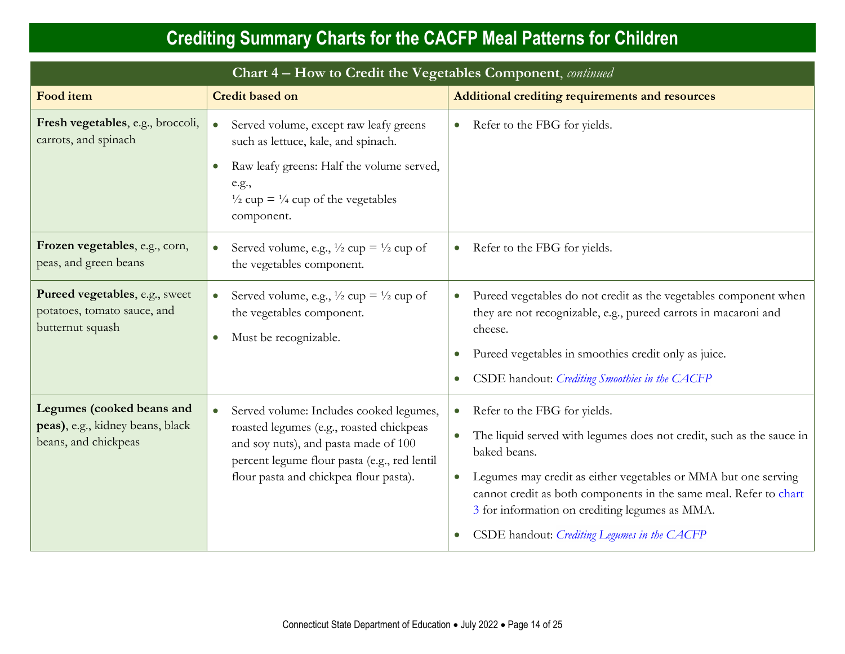| Chart 4 - How to Credit the Vegetables Component, continued                           |                                                                                                                                                                                                                           |                                                                                                                                                                                                                                                                                                                                                                                                                   |  |  |
|---------------------------------------------------------------------------------------|---------------------------------------------------------------------------------------------------------------------------------------------------------------------------------------------------------------------------|-------------------------------------------------------------------------------------------------------------------------------------------------------------------------------------------------------------------------------------------------------------------------------------------------------------------------------------------------------------------------------------------------------------------|--|--|
| Food item                                                                             | <b>Credit based on</b>                                                                                                                                                                                                    | Additional crediting requirements and resources                                                                                                                                                                                                                                                                                                                                                                   |  |  |
| Fresh vegetables, e.g., broccoli,<br>carrots, and spinach                             | Served volume, except raw leafy greens<br>such as lettuce, kale, and spinach.<br>Raw leafy greens: Half the volume served,<br>$\bullet$<br>e.g.,<br>$\frac{1}{2}$ cup = $\frac{1}{4}$ cup of the vegetables<br>component. | • Refer to the FBG for yields.                                                                                                                                                                                                                                                                                                                                                                                    |  |  |
| Frozen vegetables, e.g., corn,<br>peas, and green beans                               | Served volume, e.g., $\frac{1}{2}$ cup = $\frac{1}{2}$ cup of<br>$\bullet$<br>the vegetables component.                                                                                                                   | Refer to the FBG for yields.<br>$\bullet$                                                                                                                                                                                                                                                                                                                                                                         |  |  |
| Pureed vegetables, e.g., sweet<br>potatoes, tomato sauce, and<br>butternut squash     | Served volume, e.g., $\frac{1}{2}$ cup = $\frac{1}{2}$ cup of<br>$\bullet$<br>the vegetables component.<br>Must be recognizable.<br>$\bullet$                                                                             | Pureed vegetables do not credit as the vegetables component when<br>$\bullet$<br>they are not recognizable, e.g., pureed carrots in macaroni and<br>cheese.<br>Pureed vegetables in smoothies credit only as juice.<br>$\bullet$<br>CSDE handout: Crediting Smoothies in the CACFP<br>$\bullet$                                                                                                                   |  |  |
| Legumes (cooked beans and<br>peas), e.g., kidney beans, black<br>beans, and chickpeas | Served volume: Includes cooked legumes,<br>roasted legumes (e.g., roasted chickpeas<br>and soy nuts), and pasta made of 100<br>percent legume flour pasta (e.g., red lentil<br>flour pasta and chickpea flour pasta).     | Refer to the FBG for yields.<br>$\bullet$<br>The liquid served with legumes does not credit, such as the sauce in<br>$\bullet$<br>baked beans.<br>Legumes may credit as either vegetables or MMA but one serving<br>$\bullet$<br>cannot credit as both components in the same meal. Refer to chart<br>3 for information on crediting legumes as MMA.<br>CSDE handout: Crediting Legumes in the CACFP<br>$\bullet$ |  |  |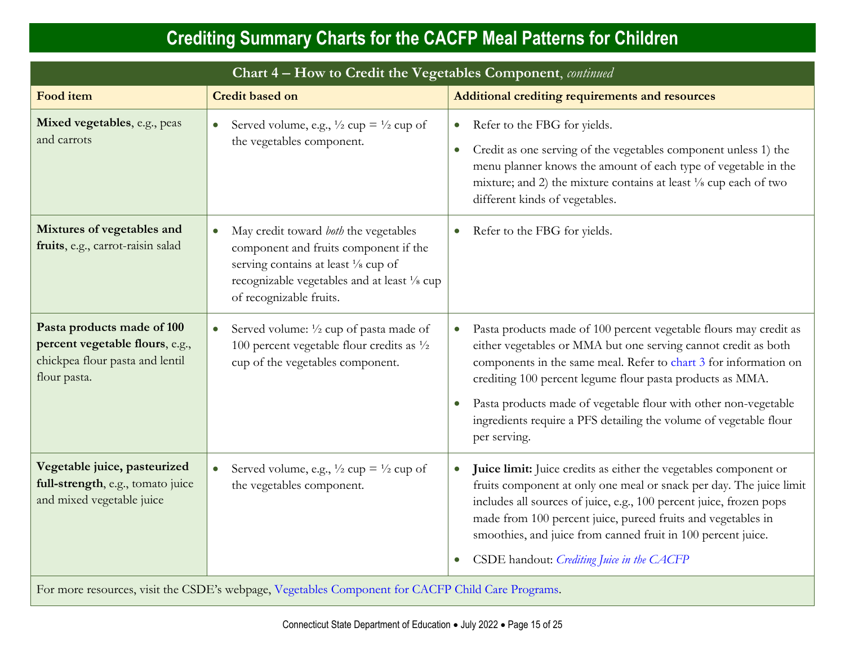| Chart 4 - How to Credit the Vegetables Component, continued                                                      |                                                                                                                                                                                                                |                                                                                                                                                                                                                                                                                                                                                                                                                                           |  |
|------------------------------------------------------------------------------------------------------------------|----------------------------------------------------------------------------------------------------------------------------------------------------------------------------------------------------------------|-------------------------------------------------------------------------------------------------------------------------------------------------------------------------------------------------------------------------------------------------------------------------------------------------------------------------------------------------------------------------------------------------------------------------------------------|--|
| Food item                                                                                                        | <b>Credit based on</b>                                                                                                                                                                                         | Additional crediting requirements and resources                                                                                                                                                                                                                                                                                                                                                                                           |  |
| Mixed vegetables, e.g., peas<br>and carrots                                                                      | Served volume, e.g., $\frac{1}{2}$ cup = $\frac{1}{2}$ cup of<br>$\bullet$<br>the vegetables component.                                                                                                        | Refer to the FBG for yields.<br>$\bullet$<br>Credit as one serving of the vegetables component unless 1) the<br>$\bullet$<br>menu planner knows the amount of each type of vegetable in the<br>mixture; and 2) the mixture contains at least 1/8 cup each of two<br>different kinds of vegetables.                                                                                                                                        |  |
| Mixtures of vegetables and<br>fruits, e.g., carrot-raisin salad                                                  | May credit toward both the vegetables<br>$\bullet$<br>component and fruits component if the<br>serving contains at least 1/8 cup of<br>recognizable vegetables and at least 1/8 cup<br>of recognizable fruits. | Refer to the FBG for yields.<br>$\bullet$                                                                                                                                                                                                                                                                                                                                                                                                 |  |
| Pasta products made of 100<br>percent vegetable flours, e.g.,<br>chickpea flour pasta and lentil<br>flour pasta. | Served volume: 1/2 cup of pasta made of<br>$100$ percent vegetable flour credits as $\frac{1}{2}$<br>cup of the vegetables component.                                                                          | Pasta products made of 100 percent vegetable flours may credit as<br>either vegetables or MMA but one serving cannot credit as both<br>components in the same meal. Refer to chart 3 for information on<br>crediting 100 percent legume flour pasta products as MMA.<br>Pasta products made of vegetable flour with other non-vegetable<br>$\bullet$<br>ingredients require a PFS detailing the volume of vegetable flour<br>per serving. |  |
| Vegetable juice, pasteurized<br>full-strength, e.g., tomato juice<br>and mixed vegetable juice                   | Served volume, e.g., $\frac{1}{2}$ cup = $\frac{1}{2}$ cup of<br>$\bullet$<br>the vegetables component.                                                                                                        | Juice limit: Juice credits as either the vegetables component or<br>$\bullet$<br>fruits component at only one meal or snack per day. The juice limit<br>includes all sources of juice, e.g., 100 percent juice, frozen pops<br>made from 100 percent juice, pureed fruits and vegetables in<br>smoothies, and juice from canned fruit in 100 percent juice.<br>CSDE handout: Crediting Juice in the CACFP<br>$\bullet$                    |  |
| For more resources, visit the CSDE's webpage, Vegetables Component for CACFP Child Care Programs.                |                                                                                                                                                                                                                |                                                                                                                                                                                                                                                                                                                                                                                                                                           |  |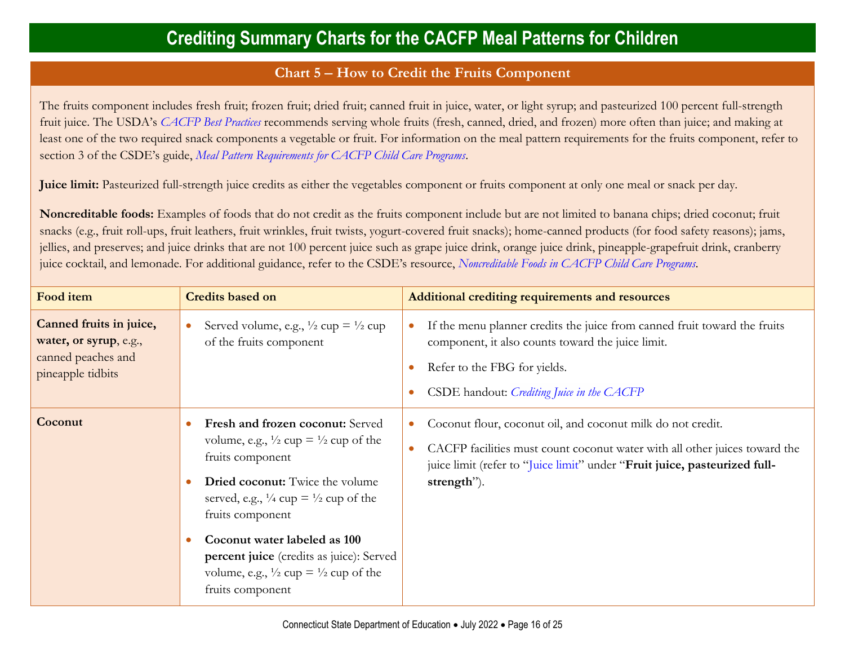#### **Chart 5** − **How to Credit the Fruits Component**

<span id="page-15-0"></span>The fruits component includes fresh fruit; frozen fruit; dried fruit; canned fruit in juice, water, or light syrup; and pasteurized 100 percent full-strength fruit juice. The USDA's *[CACFP Best Practices](https://fns-prod.azureedge.us/sites/default/files/cacfp/CACFP_factBP.pdf)* recommends serving whole fruits (fresh, canned, dried, and frozen) more often than juice; and making at least one of the two required snack components a vegetable or fruit. For information on the meal pattern requirements for the fruits component, refer to section 3 of the CSDE's guide, *[Meal Pattern Requirements for CACFP Child Care Programs](https://portal.ct.gov/-/media/SDE/Nutrition/CACFP/MealPattern/Guide_CACFP_Meal_Patterns.pdf)*.

**Juice limit:** Pasteurized full-strength juice credits as either the vegetables component or fruits component at only one meal or snack per day.

**Noncreditable foods:** Examples of foods that do not credit as the fruits component include but are not limited to banana chips; dried coconut; fruit snacks (e.g., fruit roll-ups, fruit leathers, fruit wrinkles, fruit twists, yogurt-covered fruit snacks); home-canned products (for food safety reasons); jams, jellies, and preserves; and juice drinks that are not 100 percent juice such as grape juice drink, orange juice drink, pineapple-grapefruit drink, cranberry juice cocktail, and lemonade. For additional guidance, refer to the CSDE's resource, *[Noncreditable Foods in CACFP Child Care Programs.](https://portal.ct.gov/-/media/SDE/Nutrition/CACFP/Crediting/Noncreditable_Foods_CACFP.pdf)*

| Food item                                                                                    | <b>Credits based on</b>                                                                                                                                                                                                                                                                                                                                                                                      | <b>Additional crediting requirements and resources</b>                                                                                                                                                                                                          |
|----------------------------------------------------------------------------------------------|--------------------------------------------------------------------------------------------------------------------------------------------------------------------------------------------------------------------------------------------------------------------------------------------------------------------------------------------------------------------------------------------------------------|-----------------------------------------------------------------------------------------------------------------------------------------------------------------------------------------------------------------------------------------------------------------|
| Canned fruits in juice,<br>water, or syrup, e.g.,<br>canned peaches and<br>pineapple tidbits | Served volume, e.g., $\frac{1}{2}$ cup = $\frac{1}{2}$ cup<br>$\bullet$<br>of the fruits component                                                                                                                                                                                                                                                                                                           | If the menu planner credits the juice from canned fruit toward the fruits<br>٠<br>component, it also counts toward the juice limit.<br>Refer to the FBG for yields.<br>$\bullet$<br>CSDE handout: Crediting Juice in the CACFP                                  |
| Coconut                                                                                      | Fresh and frozen coconut: Served<br>volume, e.g., $\frac{1}{2}$ cup = $\frac{1}{2}$ cup of the<br>fruits component<br><b>Dried coconut:</b> Twice the volume<br>served, e.g., $\frac{1}{4}$ cup = $\frac{1}{2}$ cup of the<br>fruits component<br>Coconut water labeled as 100<br>percent juice (credits as juice): Served<br>volume, e.g., $\frac{1}{2}$ cup = $\frac{1}{2}$ cup of the<br>fruits component | Coconut flour, coconut oil, and coconut milk do not credit.<br>$\bullet$<br>CACFP facilities must count coconut water with all other juices toward the<br>$\bullet$<br>juice limit (refer to "Juice limit" under "Fruit juice, pasteurized full-<br>strength"). |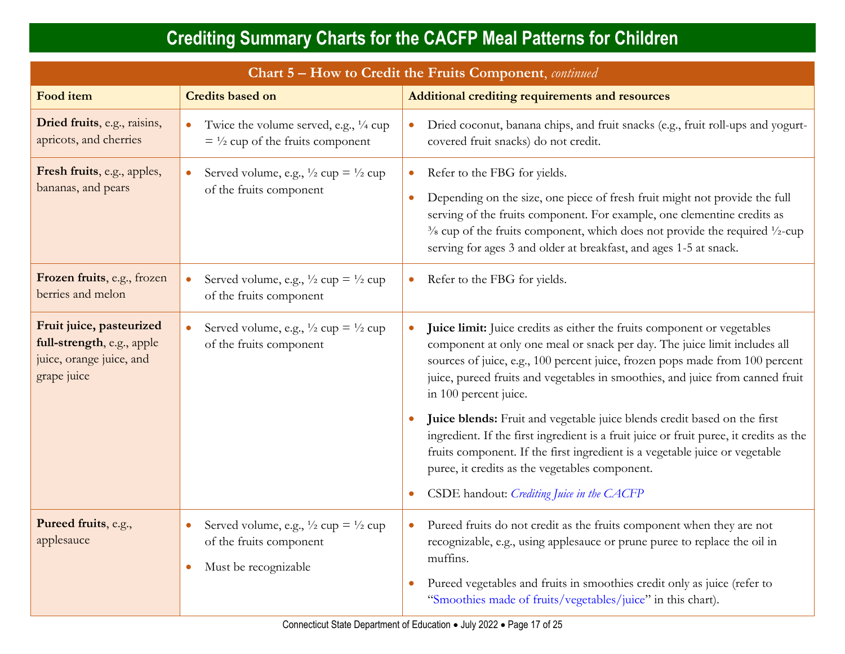<span id="page-16-0"></span>

| Chart 5 - How to Credit the Fruits Component, continued                                           |                                                                                                                                         |                                                                                                                                                                                                                                                                                                                                                                                           |  |
|---------------------------------------------------------------------------------------------------|-----------------------------------------------------------------------------------------------------------------------------------------|-------------------------------------------------------------------------------------------------------------------------------------------------------------------------------------------------------------------------------------------------------------------------------------------------------------------------------------------------------------------------------------------|--|
| Food item                                                                                         | <b>Credits based on</b>                                                                                                                 | Additional crediting requirements and resources                                                                                                                                                                                                                                                                                                                                           |  |
| Dried fruits, e.g., raisins,<br>apricots, and cherries                                            | Twice the volume served, e.g., $\frac{1}{4}$ cup<br>$\bullet$<br>$=$ 1/2 cup of the fruits component                                    | Dried coconut, banana chips, and fruit snacks (e.g., fruit roll-ups and yogurt-<br>$\bullet$<br>covered fruit snacks) do not credit.                                                                                                                                                                                                                                                      |  |
| Fresh fruits, e.g., apples,<br>bananas, and pears                                                 | Served volume, e.g., $\frac{1}{2}$ cup = $\frac{1}{2}$ cup<br>$\bullet$<br>of the fruits component                                      | Refer to the FBG for yields.<br>$\bullet$<br>Depending on the size, one piece of fresh fruit might not provide the full<br>$\bullet$<br>serving of the fruits component. For example, one clementine credits as<br>$\frac{3}{8}$ cup of the fruits component, which does not provide the required $\frac{1}{2}$ -cup<br>serving for ages 3 and older at breakfast, and ages 1-5 at snack. |  |
| Frozen fruits, e.g., frozen<br>berries and melon                                                  | Served volume, e.g., $\frac{1}{2}$ cup = $\frac{1}{2}$ cup<br>of the fruits component                                                   | Refer to the FBG for yields.<br>$\bullet$                                                                                                                                                                                                                                                                                                                                                 |  |
| Fruit juice, pasteurized<br>full-strength, e.g., apple<br>juice, orange juice, and<br>grape juice | Served volume, e.g., $\frac{1}{2}$ cup = $\frac{1}{2}$ cup<br>$\bullet$<br>of the fruits component                                      | Juice limit: Juice credits as either the fruits component or vegetables<br>$\bullet$<br>component at only one meal or snack per day. The juice limit includes all<br>sources of juice, e.g., 100 percent juice, frozen pops made from 100 percent<br>juice, pureed fruits and vegetables in smoothies, and juice from canned fruit<br>in 100 percent juice.                               |  |
|                                                                                                   |                                                                                                                                         | Juice blends: Fruit and vegetable juice blends credit based on the first<br>ingredient. If the first ingredient is a fruit juice or fruit puree, it credits as the<br>fruits component. If the first ingredient is a vegetable juice or vegetable<br>puree, it credits as the vegetables component.<br>CSDE handout: Crediting Juice in the CACFP<br>$\bullet$                            |  |
| Pureed fruits, e.g.,<br>applesauce                                                                | Served volume, e.g., $\frac{1}{2}$ cup = $\frac{1}{2}$ cup<br>$\bullet$<br>of the fruits component<br>Must be recognizable<br>$\bullet$ | Pureed fruits do not credit as the fruits component when they are not<br>$\bullet$<br>recognizable, e.g., using applesauce or prune puree to replace the oil in<br>muffins.<br>Pureed vegetables and fruits in smoothies credit only as juice (refer to<br>"Smoothies made of fruits/vegetables/juice" in this chart).                                                                    |  |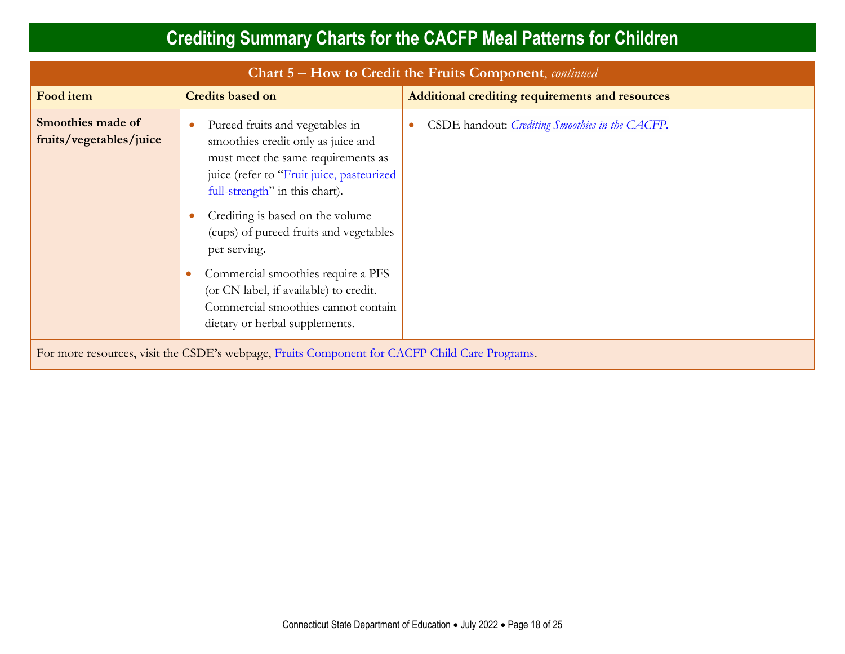<span id="page-17-0"></span>

| Chart 5 – How to Credit the Fruits Component, <i>continued</i>                                |                                                                                                                                                                                                                                                                                                                                                                                                                                                   |                                                         |  |  |
|-----------------------------------------------------------------------------------------------|---------------------------------------------------------------------------------------------------------------------------------------------------------------------------------------------------------------------------------------------------------------------------------------------------------------------------------------------------------------------------------------------------------------------------------------------------|---------------------------------------------------------|--|--|
| Food item                                                                                     | <b>Credits based on</b>                                                                                                                                                                                                                                                                                                                                                                                                                           | Additional crediting requirements and resources         |  |  |
| Smoothies made of<br>fruits/vegetables/juice                                                  | Pureed fruits and vegetables in<br>smoothies credit only as juice and<br>must meet the same requirements as<br>juice (refer to "Fruit juice, pasteurized<br>full-strength" in this chart).<br>Crediting is based on the volume<br>(cups) of pureed fruits and vegetables<br>per serving.<br>Commercial smoothies require a PFS<br>(or CN label, if available) to credit.<br>Commercial smoothies cannot contain<br>dietary or herbal supplements. | CSDE handout: <i>Crediting Smoothies in the CACFP</i> . |  |  |
| For more resources, visit the CSDE's webpage, Fruits Component for CACFP Child Care Programs. |                                                                                                                                                                                                                                                                                                                                                                                                                                                   |                                                         |  |  |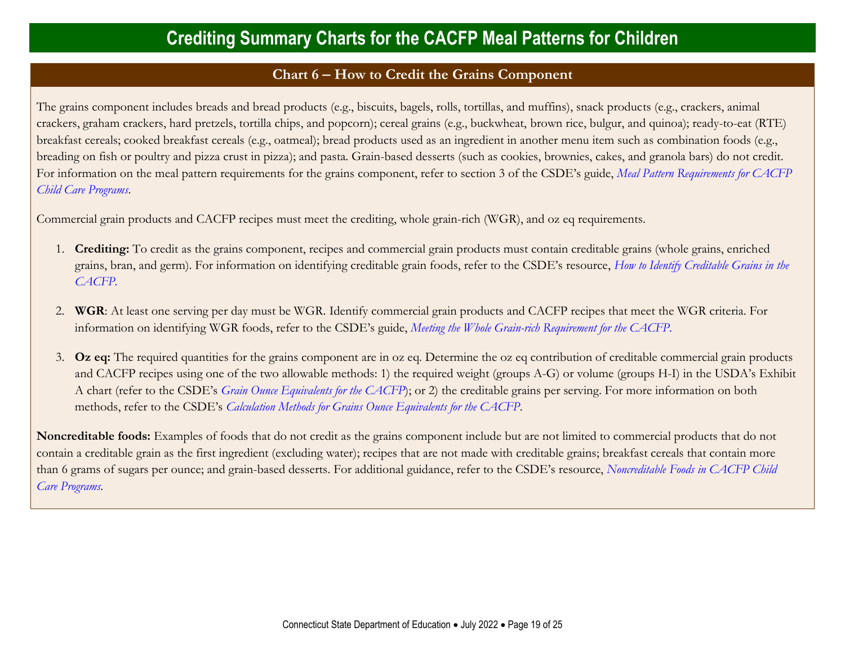#### **Chart 6** − **How to Credit the Grains Component**

<span id="page-18-0"></span>The grains component includes breads and bread products (e.g., biscuits, bagels, rolls, tortillas, and muffins), snack products (e.g., crackers, animal crackers, graham crackers, hard pretzels, tortilla chips, and popcorn); cereal grains (e.g., buckwheat, brown rice, bulgur, and quinoa); ready-to-eat (RTE) breakfast cereals; cooked breakfast cereals (e.g., oatmeal); bread products used as an ingredient in another menu item such as combination foods (e.g., breading on fish or poultry and pizza crust in pizza); and pasta. Grain-based desserts (such as cookies, brownies, cakes, and granola bars) do not credit. For information on the meal pattern requirements for the grains component, refer to section 3 of the CSDE's guide, *[Meal Pattern Requirements for CACFP](https://portal.ct.gov/-/media/SDE/Nutrition/CACFP/MealPattern/Guide_CACFP_Meal_Patterns.pdf)  [Child Care Programs](https://portal.ct.gov/-/media/SDE/Nutrition/CACFP/MealPattern/Guide_CACFP_Meal_Patterns.pdf)*.

Commercial grain products and CACFP recipes must meet the crediting, whole grain-rich (WGR), and oz eq requirements.

- 1. **Crediting:** To credit as the grains component, recipes and commercial grain products must contain creditable grains (whole grains, enriched grains, bran, and germ). For information on identifying creditable grain foods, refer to the CSDE's resource, *[How to Identify Creditable Grains in the](https://portal.ct.gov/-/media/SDE/Nutrition/CACFP/Crediting/Identify_Creditable_Grains_CACFP.pdf)  [CACFP.](https://portal.ct.gov/-/media/SDE/Nutrition/CACFP/Crediting/Identify_Creditable_Grains_CACFP.pdf)*
- 2. **WGR**: At least one serving per day must be WGR. Identify commercial grain products and CACFP recipes that meet the WGR criteria. For information on identifying WGR foods, refer to the CSDE's guide, *[Meeting the Whole Grain-rich Requirement for the CACFP.](https://portal.ct.gov/-/media/SDE/Nutrition/CACFP/Crediting/WGR_Requirement_CACFP.pdf)*
- 3. **Oz eq:** The required quantities for the grains component are in oz eq. Determine the oz eq contribution of creditable commercial grain products and CACFP recipes using one of the two allowable methods: 1) the required weight (groups A-G) or volume (groups H-I) in the USDA's Exhibit A chart (refer to the CSDE's *[Grain Ounce Equivalents for the CACFP](https://portal.ct.gov/-/media/SDE/Nutrition/CACFP/Crediting/Grain_Oz_Eq_CACFP.pdf)*); or 2) the creditable grains per serving. For more information on both methods, refer to the CSDE's *[Calculation Methods for Grains Ounce Equivalents for the CACFP](https://portal.ct.gov/-/media/SDE/Nutrition/CACFP/Crediting/Grain_Calculation_CACFP_Oz_Eq.pdf)*.

**Noncreditable foods:** Examples of foods that do not credit as the grains component include but are not limited to commercial products that do not contain a creditable grain as the first ingredient (excluding water); recipes that are not made with creditable grains; breakfast cereals that contain more than 6 grams of sugars per ounce; and grain-based desserts. For additional guidance, refer to the CSDE's resource, *[Noncreditable Foods in CACFP Child](https://portal.ct.gov/-/media/SDE/Nutrition/CACFP/Crediting/Noncreditable_Foods_CACFP.pdf)  [Care Programs.](https://portal.ct.gov/-/media/SDE/Nutrition/CACFP/Crediting/Noncreditable_Foods_CACFP.pdf)*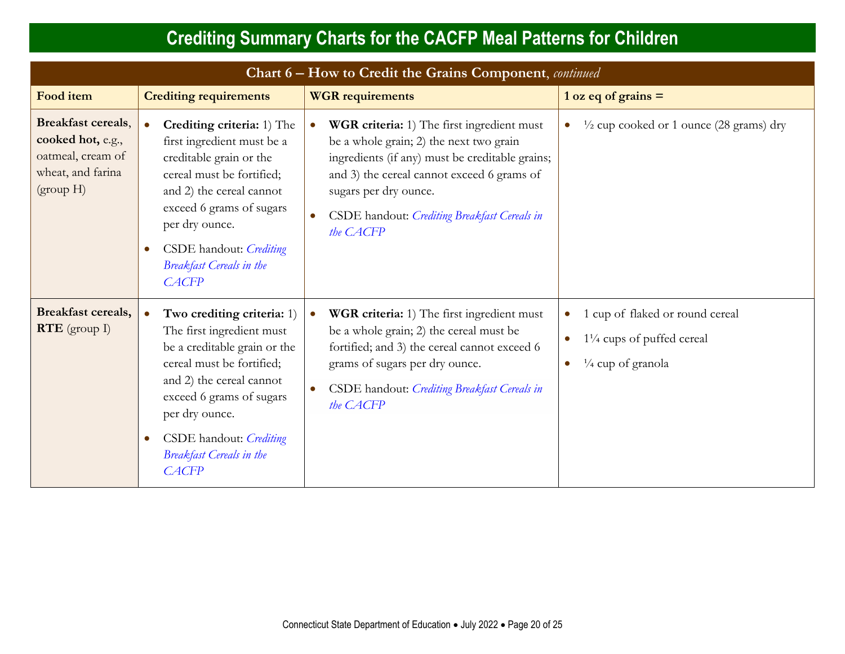| Chart 6 – How to Credit the Grains Component, continued                                               |                                                                                                                                                                                                                                                                                                    |                                                                                                                                                                                                                                                                                           |                                                                                                                      |
|-------------------------------------------------------------------------------------------------------|----------------------------------------------------------------------------------------------------------------------------------------------------------------------------------------------------------------------------------------------------------------------------------------------------|-------------------------------------------------------------------------------------------------------------------------------------------------------------------------------------------------------------------------------------------------------------------------------------------|----------------------------------------------------------------------------------------------------------------------|
| <b>Food</b> item                                                                                      | <b>Crediting requirements</b>                                                                                                                                                                                                                                                                      | <b>WGR</b> requirements                                                                                                                                                                                                                                                                   | $1 oz eq of grains =$                                                                                                |
| <b>Breakfast cereals,</b><br>cooked hot, e.g.,<br>oatmeal, cream of<br>wheat, and farina<br>(group H) | Crediting criteria: 1) The<br>$\bullet$<br>first ingredient must be a<br>creditable grain or the<br>cereal must be fortified;<br>and 2) the cereal cannot<br>exceed 6 grams of sugars<br>per dry ounce.<br>CSDE handout: Crediting<br>$\bullet$<br><b>Breakfast Cereals in the</b><br><b>CACFP</b> | WGR criteria: 1) The first ingredient must<br>$\bullet$<br>be a whole grain; 2) the next two grain<br>ingredients (if any) must be creditable grains;<br>and 3) the cereal cannot exceed 6 grams of<br>sugars per dry ounce.<br>CSDE handout: Crediting Breakfast Cereals in<br>the CACFP | $\frac{1}{2}$ cup cooked or 1 ounce (28 grams) dry<br>$\bullet$                                                      |
| <b>Breakfast cereals,</b><br>$RTE$ (group I)                                                          | Two crediting criteria: 1)<br>The first ingredient must<br>be a creditable grain or the<br>cereal must be fortified;<br>and 2) the cereal cannot<br>exceed 6 grams of sugars<br>per dry ounce.<br>CSDE handout: Crediting<br>$\bullet$<br><b>Breakfast Cereals in the</b><br><b>CACFP</b>          | <b>WGR criteria:</b> 1) The first ingredient must<br>$\bullet$<br>be a whole grain; 2) the cereal must be<br>fortified; and 3) the cereal cannot exceed 6<br>grams of sugars per dry ounce.<br>CSDE handout: Crediting Breakfast Cereals in<br>the CACFP                                  | 1 cup of flaked or round cereal<br>$\bullet$<br>$1\frac{1}{4}$ cups of puffed cereal<br>$\frac{1}{4}$ cup of granola |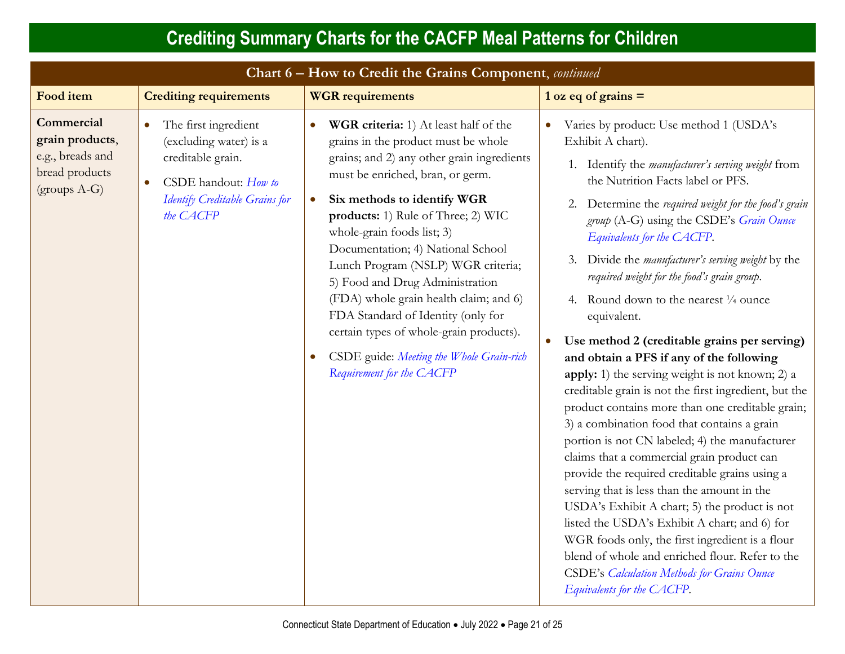| Chart 6 - How to Credit the Grains Component, continued                              |                                                                                                                                                                      |                                                                                                                                                                                                                                                                                                                                                                                                                                                                                                                                                                                                               |                                                                                                                                                                                                                                                                                                                                                                                                                                                                                                                                                                                                                                                                                                                                                                                                                                                                                                                                                                                                                                                                                                                                                                                                                                                                                      |
|--------------------------------------------------------------------------------------|----------------------------------------------------------------------------------------------------------------------------------------------------------------------|---------------------------------------------------------------------------------------------------------------------------------------------------------------------------------------------------------------------------------------------------------------------------------------------------------------------------------------------------------------------------------------------------------------------------------------------------------------------------------------------------------------------------------------------------------------------------------------------------------------|--------------------------------------------------------------------------------------------------------------------------------------------------------------------------------------------------------------------------------------------------------------------------------------------------------------------------------------------------------------------------------------------------------------------------------------------------------------------------------------------------------------------------------------------------------------------------------------------------------------------------------------------------------------------------------------------------------------------------------------------------------------------------------------------------------------------------------------------------------------------------------------------------------------------------------------------------------------------------------------------------------------------------------------------------------------------------------------------------------------------------------------------------------------------------------------------------------------------------------------------------------------------------------------|
| <b>Food item</b>                                                                     | <b>Crediting requirements</b>                                                                                                                                        | <b>WGR</b> requirements                                                                                                                                                                                                                                                                                                                                                                                                                                                                                                                                                                                       | $1 oz eq of grains =$                                                                                                                                                                                                                                                                                                                                                                                                                                                                                                                                                                                                                                                                                                                                                                                                                                                                                                                                                                                                                                                                                                                                                                                                                                                                |
| Commercial<br>grain products,<br>e.g., breads and<br>bread products<br>$(grows A-G)$ | The first ingredient<br>$\bullet$<br>(excluding water) is a<br>creditable grain.<br>CSDE handout: How to<br>$\bullet$<br>Identify Creditable Grains for<br>the CACFP | WGR criteria: 1) At least half of the<br>$\bullet$<br>grains in the product must be whole<br>grains; and 2) any other grain ingredients<br>must be enriched, bran, or germ.<br>Six methods to identify WGR<br>$\bullet$<br>products: 1) Rule of Three; 2) WIC<br>whole-grain foods list; 3)<br>Documentation; 4) National School<br>Lunch Program (NSLP) WGR criteria;<br>5) Food and Drug Administration<br>(FDA) whole grain health claim; and 6)<br>FDA Standard of Identity (only for<br>certain types of whole-grain products).<br>CSDE guide: Meeting the Whole Grain-rich<br>Requirement for the CACFP | Varies by product: Use method 1 (USDA's<br>Exhibit A chart).<br>1. Identify the manufacturer's serving weight from<br>the Nutrition Facts label or PFS.<br>2. Determine the required weight for the food's grain<br>group (A-G) using the CSDE's Grain Ounce<br>Equivalents for the CACFP.<br>Divide the <i>manufacturer's serving weight</i> by the<br>3.<br>required weight for the food's grain group.<br>4. Round down to the nearest $\frac{1}{4}$ ounce<br>equivalent.<br>Use method 2 (creditable grains per serving)<br>and obtain a PFS if any of the following<br>apply: 1) the serving weight is not known; 2) a<br>creditable grain is not the first ingredient, but the<br>product contains more than one creditable grain;<br>3) a combination food that contains a grain<br>portion is not CN labeled; 4) the manufacturer<br>claims that a commercial grain product can<br>provide the required creditable grains using a<br>serving that is less than the amount in the<br>USDA's Exhibit A chart; 5) the product is not<br>listed the USDA's Exhibit A chart; and 6) for<br>WGR foods only, the first ingredient is a flour<br>blend of whole and enriched flour. Refer to the<br><b>CSDE's Calculation Methods for Grains Ounce</b><br>Equivalents for the CACFP. |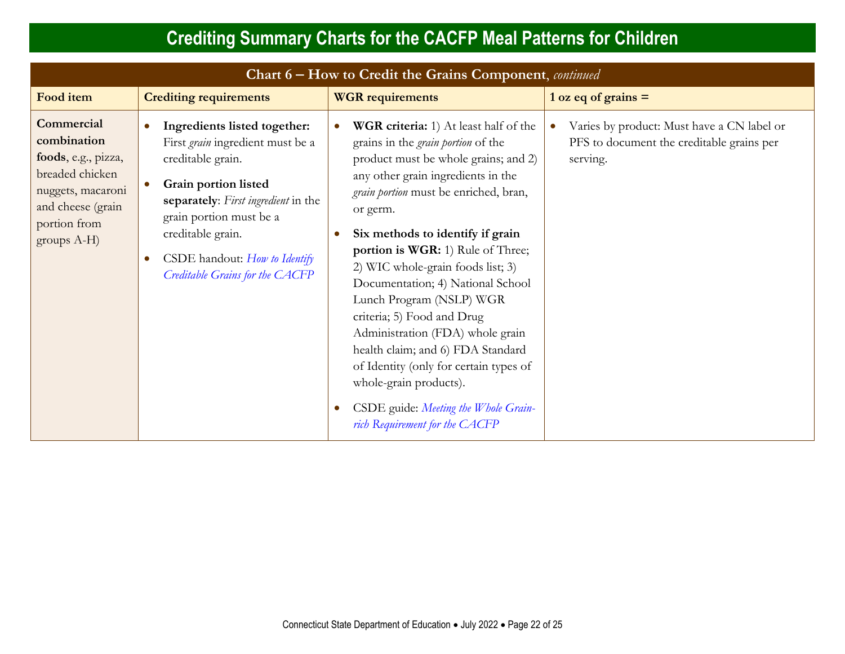| Chart 6 – How to Credit the Grains Component, continued                                                                                      |                                                                                                                                                                                                                                                                          |                                                                                                                                                                                                                                                                                                                                                                                                                                                                                                                                                                                                                                                                               |                                                                                                     |  |
|----------------------------------------------------------------------------------------------------------------------------------------------|--------------------------------------------------------------------------------------------------------------------------------------------------------------------------------------------------------------------------------------------------------------------------|-------------------------------------------------------------------------------------------------------------------------------------------------------------------------------------------------------------------------------------------------------------------------------------------------------------------------------------------------------------------------------------------------------------------------------------------------------------------------------------------------------------------------------------------------------------------------------------------------------------------------------------------------------------------------------|-----------------------------------------------------------------------------------------------------|--|
| <b>Food item</b>                                                                                                                             | <b>Crediting requirements</b>                                                                                                                                                                                                                                            | <b>WGR</b> requirements                                                                                                                                                                                                                                                                                                                                                                                                                                                                                                                                                                                                                                                       | $1 oz eq of grains =$                                                                               |  |
| Commercial<br>combination<br>foods, e.g., pizza,<br>breaded chicken<br>nuggets, macaroni<br>and cheese (grain<br>portion from<br>groups A-H) | Ingredients listed together:<br>First grain ingredient must be a<br>creditable grain.<br>Grain portion listed<br>separately: First ingredient in the<br>grain portion must be a<br>creditable grain.<br>CSDE handout: How to Identify<br>Creditable Grains for the CACFP | <b>WGR criteria:</b> 1) At least half of the<br>$\bullet$<br>grains in the <i>grain portion</i> of the<br>product must be whole grains; and 2)<br>any other grain ingredients in the<br>grain portion must be enriched, bran,<br>or germ.<br>Six methods to identify if grain<br>portion is WGR: 1) Rule of Three;<br>2) WIC whole-grain foods list; 3)<br>Documentation; 4) National School<br>Lunch Program (NSLP) WGR<br>criteria; 5) Food and Drug<br>Administration (FDA) whole grain<br>health claim; and 6) FDA Standard<br>of Identity (only for certain types of<br>whole-grain products).<br>CSDE guide: Meeting the Whole Grain-<br>rich Requirement for the CACFP | Varies by product: Must have a CN label or<br>PFS to document the creditable grains per<br>serving. |  |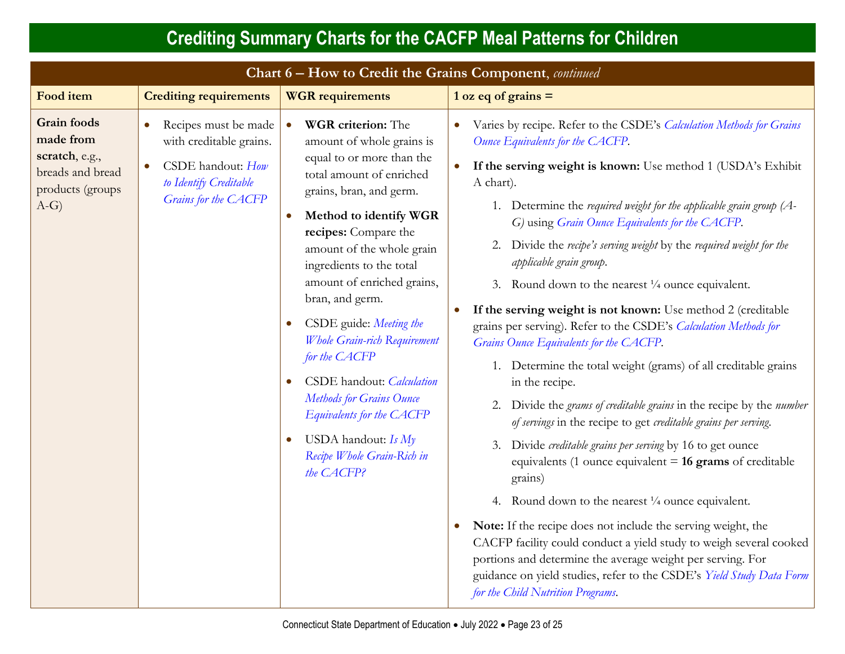| <b>Crediting Summary Charts for the CACFP Meal Patterns for Children</b>                           |                                                                                                                        |                                                                                                                                                                                                                                                                                                                                                                                                                                                                                                                                                                 |                                                                                                                                                                                                                                                                                                                                                                                                                                                                                                                                                                                                                                                                                                                                                                                                                                                                                                                                                                                                                                                                                                                                                                                                                                                                                                                                                                                                                                                                                    |  |
|----------------------------------------------------------------------------------------------------|------------------------------------------------------------------------------------------------------------------------|-----------------------------------------------------------------------------------------------------------------------------------------------------------------------------------------------------------------------------------------------------------------------------------------------------------------------------------------------------------------------------------------------------------------------------------------------------------------------------------------------------------------------------------------------------------------|------------------------------------------------------------------------------------------------------------------------------------------------------------------------------------------------------------------------------------------------------------------------------------------------------------------------------------------------------------------------------------------------------------------------------------------------------------------------------------------------------------------------------------------------------------------------------------------------------------------------------------------------------------------------------------------------------------------------------------------------------------------------------------------------------------------------------------------------------------------------------------------------------------------------------------------------------------------------------------------------------------------------------------------------------------------------------------------------------------------------------------------------------------------------------------------------------------------------------------------------------------------------------------------------------------------------------------------------------------------------------------------------------------------------------------------------------------------------------------|--|
| Chart 6 - How to Credit the Grains Component, continued                                            |                                                                                                                        |                                                                                                                                                                                                                                                                                                                                                                                                                                                                                                                                                                 |                                                                                                                                                                                                                                                                                                                                                                                                                                                                                                                                                                                                                                                                                                                                                                                                                                                                                                                                                                                                                                                                                                                                                                                                                                                                                                                                                                                                                                                                                    |  |
| <b>Food item</b>                                                                                   | <b>Crediting requirements</b><br><b>WGR</b> requirements                                                               |                                                                                                                                                                                                                                                                                                                                                                                                                                                                                                                                                                 | $1 oz eq of grains =$                                                                                                                                                                                                                                                                                                                                                                                                                                                                                                                                                                                                                                                                                                                                                                                                                                                                                                                                                                                                                                                                                                                                                                                                                                                                                                                                                                                                                                                              |  |
| <b>Grain</b> foods<br>made from<br>scratch, e.g.,<br>breads and bread<br>products (groups<br>$A-G$ | Recipes must be made<br>with creditable grains.<br>CSDE handout: How<br>to Identify Creditable<br>Grains for the CACFP | WGR criterion: The<br>amount of whole grains is<br>equal to or more than the<br>total amount of enriched<br>grains, bran, and germ.<br>Method to identify WGR<br>$\bullet$<br>recipes: Compare the<br>amount of the whole grain<br>ingredients to the total<br>amount of enriched grains,<br>bran, and germ.<br>CSDE guide: Meeting the<br>Whole Grain-rich Requirement<br>for the CACFP<br>CSDE handout: Calculation<br><b>Methods for Grains Ounce</b><br>Equivalents for the CACFP<br>USDA handout: $Is My$<br>O<br>Recipe Whole Grain-Rich in<br>the CACFP? | Varies by recipe. Refer to the CSDE's Calculation Methods for Grains<br>$\bullet$<br>Ounce Equivalents for the CACFP.<br>If the serving weight is known: Use method 1 (USDA's Exhibit<br>$\bullet$<br>A chart).<br>1. Determine the required weight for the applicable grain group $(A -$<br>G) using Grain Ounce Equivalents for the CACFP.<br>Divide the recipe's serving weight by the required weight for the<br>applicable grain group.<br>3. Round down to the nearest $\frac{1}{4}$ ounce equivalent.<br>If the serving weight is not known: Use method 2 (creditable<br>$\bullet$<br>grains per serving). Refer to the CSDE's Calculation Methods for<br>Grains Ounce Equivalents for the CACFP.<br>1. Determine the total weight (grams) of all creditable grains<br>in the recipe.<br>Divide the grams of creditable grains in the recipe by the number<br>2.<br>of servings in the recipe to get creditable grains per serving.<br>Divide creditable grains per serving by 16 to get ounce<br>3.<br>equivalents (1 ounce equivalent $= 16$ grams of creditable<br>grains)<br>4. Round down to the nearest $\frac{1}{4}$ ounce equivalent.<br>Note: If the recipe does not include the serving weight, the<br>$\bullet$<br>CACFP facility could conduct a yield study to weigh several cooked<br>portions and determine the average weight per serving. For<br>guidance on yield studies, refer to the CSDE's Yield Study Data Form<br>for the Child Nutrition Programs. |  |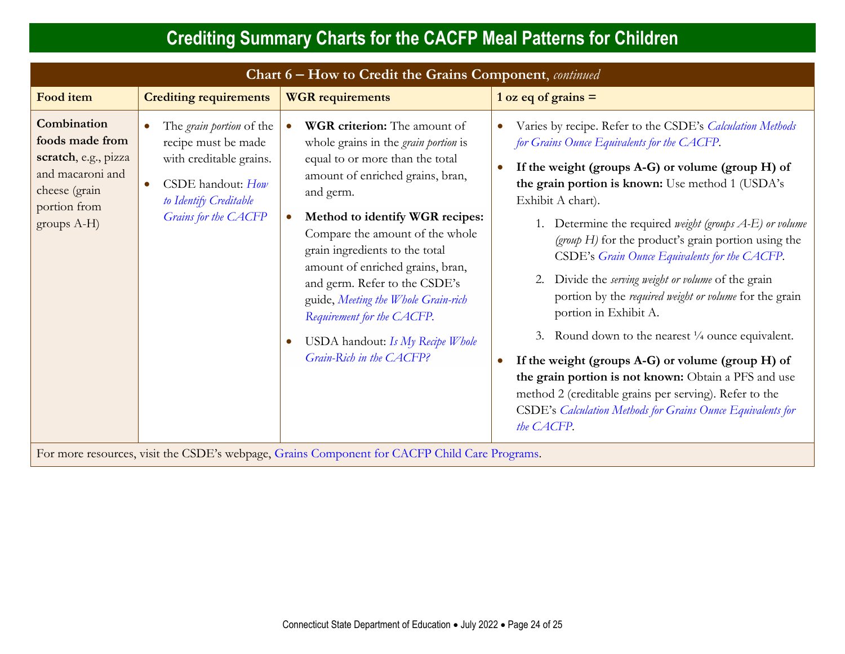| Chart 6 - How to Credit the Grains Component, continued                                                                       |                                                                                                                                                                       |                                                                                                                                                                                                                                                                                                                                                                                                                                                                                                |                                                                                                                                                                                                                                                                                                                                                                                                                                                                                                                                                                                                                                                                                                                                                                                                                                                                                               |
|-------------------------------------------------------------------------------------------------------------------------------|-----------------------------------------------------------------------------------------------------------------------------------------------------------------------|------------------------------------------------------------------------------------------------------------------------------------------------------------------------------------------------------------------------------------------------------------------------------------------------------------------------------------------------------------------------------------------------------------------------------------------------------------------------------------------------|-----------------------------------------------------------------------------------------------------------------------------------------------------------------------------------------------------------------------------------------------------------------------------------------------------------------------------------------------------------------------------------------------------------------------------------------------------------------------------------------------------------------------------------------------------------------------------------------------------------------------------------------------------------------------------------------------------------------------------------------------------------------------------------------------------------------------------------------------------------------------------------------------|
| Food item                                                                                                                     | <b>Crediting requirements</b>                                                                                                                                         | <b>WGR</b> requirements                                                                                                                                                                                                                                                                                                                                                                                                                                                                        | $1 oz eq of grains =$                                                                                                                                                                                                                                                                                                                                                                                                                                                                                                                                                                                                                                                                                                                                                                                                                                                                         |
| Combination<br>foods made from<br>scratch, e.g., pizza<br>and macaroni and<br>cheese (grain<br>portion from<br>groups $A-H$ ) | The <i>grain portion</i> of the<br>recipe must be made<br>with creditable grains.<br>CSDE handout: How<br>$\bullet$<br>to Identify Creditable<br>Grains for the CACFP | WGR criterion: The amount of<br>whole grains in the <i>grain portion</i> is<br>equal to or more than the total<br>amount of enriched grains, bran,<br>and germ.<br>Method to identify WGR recipes:<br>Compare the amount of the whole<br>grain ingredients to the total<br>amount of enriched grains, bran,<br>and germ. Refer to the CSDE's<br>guide, Meeting the Whole Grain-rich<br>Requirement for the CACFP.<br>USDA handout: Is My Recipe Whole<br>$\bullet$<br>Grain-Rich in the CACFP? | Varies by recipe. Refer to the CSDE's Calculation Methods<br>$\bullet$<br>for Grains Ounce Equivalents for the CACFP.<br>If the weight (groups $A-G$ ) or volume (group $H$ ) of<br>the grain portion is known: Use method 1 (USDA's<br>Exhibit A chart).<br>1. Determine the required weight (groups A-E) or volume<br>(group $H$ ) for the product's grain portion using the<br>CSDE's Grain Ounce Equivalents for the CACFP.<br>Divide the serving weight or volume of the grain<br>portion by the required weight or volume for the grain<br>portion in Exhibit A.<br>Round down to the nearest $\frac{1}{4}$ ounce equivalent.<br>3.<br>If the weight (groups A-G) or volume (group H) of<br>the grain portion is not known: Obtain a PFS and use<br>method 2 (creditable grains per serving). Refer to the<br>CSDE's Calculation Methods for Grains Ounce Equivalents for<br>the CACFP. |

For more resources, visit the CSDE's webpage, [Grains Component for CACFP Child Care Programs.](https://portal.ct.gov/SDE/Nutrition/Crediting-Foods-in-CACFP-Child-Care-Programs/Documents#Grains)